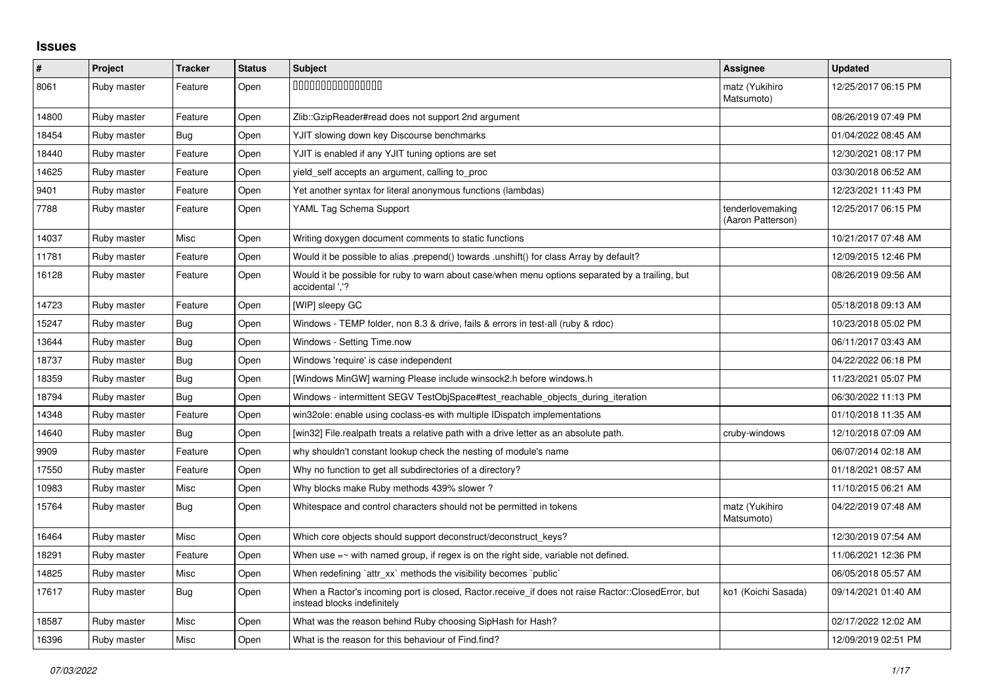## **Issues**

| $\pmb{\#}$ | Project     | <b>Tracker</b> | <b>Status</b> | <b>Subject</b>                                                                                                                    | Assignee                              | <b>Updated</b>      |
|------------|-------------|----------------|---------------|-----------------------------------------------------------------------------------------------------------------------------------|---------------------------------------|---------------------|
| 8061       | Ruby master | Feature        | Open          | 000000000000000                                                                                                                   | matz (Yukihiro<br>Matsumoto)          | 12/25/2017 06:15 PM |
| 14800      | Ruby master | Feature        | Open          | Zlib::GzipReader#read does not support 2nd argument                                                                               |                                       | 08/26/2019 07:49 PM |
| 18454      | Ruby master | Bug            | Open          | YJIT slowing down key Discourse benchmarks                                                                                        |                                       | 01/04/2022 08:45 AM |
| 18440      | Ruby master | Feature        | Open          | YJIT is enabled if any YJIT tuning options are set                                                                                |                                       | 12/30/2021 08:17 PM |
| 14625      | Ruby master | Feature        | Open          | yield_self accepts an argument, calling to_proc                                                                                   |                                       | 03/30/2018 06:52 AM |
| 9401       | Ruby master | Feature        | Open          | Yet another syntax for literal anonymous functions (lambdas)                                                                      |                                       | 12/23/2021 11:43 PM |
| 7788       | Ruby master | Feature        | Open          | YAML Tag Schema Support                                                                                                           | tenderlovemaking<br>(Aaron Patterson) | 12/25/2017 06:15 PM |
| 14037      | Ruby master | Misc           | Open          | Writing doxygen document comments to static functions                                                                             |                                       | 10/21/2017 07:48 AM |
| 11781      | Ruby master | Feature        | Open          | Would it be possible to alias .prepend() towards .unshift() for class Array by default?                                           |                                       | 12/09/2015 12:46 PM |
| 16128      | Ruby master | Feature        | Open          | Would it be possible for ruby to warn about case/when menu options separated by a trailing, but<br>accidental '.'?                |                                       | 08/26/2019 09:56 AM |
| 14723      | Ruby master | Feature        | Open          | [WIP] sleepy GC                                                                                                                   |                                       | 05/18/2018 09:13 AM |
| 15247      | Ruby master | <b>Bug</b>     | Open          | Windows - TEMP folder, non 8.3 & drive, fails & errors in test-all (ruby & rdoc)                                                  |                                       | 10/23/2018 05:02 PM |
| 13644      | Ruby master | Bug            | Open          | Windows - Setting Time.now                                                                                                        |                                       | 06/11/2017 03:43 AM |
| 18737      | Ruby master | Bug            | Open          | Windows 'require' is case independent                                                                                             |                                       | 04/22/2022 06:18 PM |
| 18359      | Ruby master | Bug            | Open          | [Windows MinGW] warning Please include winsock2.h before windows.h                                                                |                                       | 11/23/2021 05:07 PM |
| 18794      | Ruby master | <b>Bug</b>     | Open          | Windows - intermittent SEGV TestObjSpace#test reachable objects during iteration                                                  |                                       | 06/30/2022 11:13 PM |
| 14348      | Ruby master | Feature        | Open          | win32ole: enable using coclass-es with multiple IDispatch implementations                                                         |                                       | 01/10/2018 11:35 AM |
| 14640      | Ruby master | Bug            | Open          | [win32] File.realpath treats a relative path with a drive letter as an absolute path.                                             | cruby-windows                         | 12/10/2018 07:09 AM |
| 9909       | Ruby master | Feature        | Open          | why shouldn't constant lookup check the nesting of module's name                                                                  |                                       | 06/07/2014 02:18 AM |
| 17550      | Ruby master | Feature        | Open          | Why no function to get all subdirectories of a directory?                                                                         |                                       | 01/18/2021 08:57 AM |
| 10983      | Ruby master | Misc           | Open          | Why blocks make Ruby methods 439% slower?                                                                                         |                                       | 11/10/2015 06:21 AM |
| 15764      | Ruby master | Bug            | Open          | Whitespace and control characters should not be permitted in tokens                                                               | matz (Yukihiro<br>Matsumoto)          | 04/22/2019 07:48 AM |
| 16464      | Ruby master | <b>Misc</b>    | Open          | Which core objects should support deconstruct/deconstruct keys?                                                                   |                                       | 12/30/2019 07:54 AM |
| 18291      | Ruby master | Feature        | Open          | When use $=\sim$ with named group, if regex is on the right side, variable not defined.                                           |                                       | 11/06/2021 12:36 PM |
| 14825      | Ruby master | Misc           | Open          | When redefining 'attr_xx' methods the visibility becomes 'public'                                                                 |                                       | 06/05/2018 05:57 AM |
| 17617      | Ruby master | Bug            | Open          | When a Ractor's incoming port is closed, Ractor.receive_if does not raise Ractor::ClosedError, but<br>instead blocks indefinitely | ko1 (Koichi Sasada)                   | 09/14/2021 01:40 AM |
| 18587      | Ruby master | Misc           | Open          | What was the reason behind Ruby choosing SipHash for Hash?                                                                        |                                       | 02/17/2022 12:02 AM |
| 16396      | Ruby master | Misc           | Open          | What is the reason for this behaviour of Find.find?                                                                               |                                       | 12/09/2019 02:51 PM |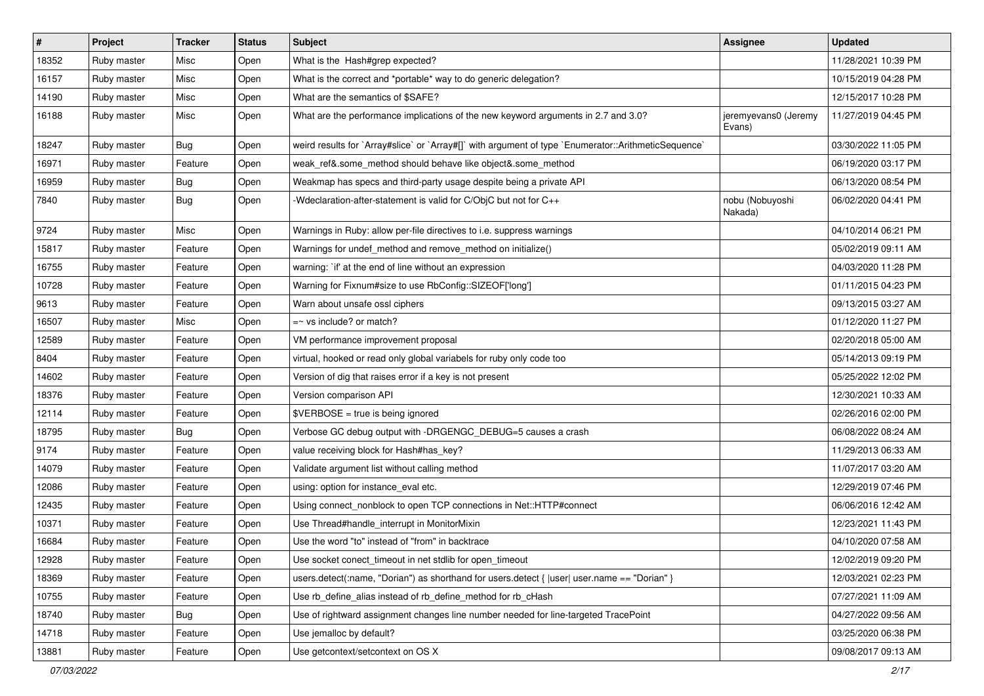| $\vert$ # | Project     | <b>Tracker</b> | <b>Status</b> | Subject                                                                                              | Assignee                       | <b>Updated</b>      |
|-----------|-------------|----------------|---------------|------------------------------------------------------------------------------------------------------|--------------------------------|---------------------|
| 18352     | Ruby master | Misc           | Open          | What is the Hash#grep expected?                                                                      |                                | 11/28/2021 10:39 PM |
| 16157     | Ruby master | Misc           | Open          | What is the correct and *portable* way to do generic delegation?                                     |                                | 10/15/2019 04:28 PM |
| 14190     | Ruby master | Misc           | Open          | What are the semantics of \$SAFE?                                                                    |                                | 12/15/2017 10:28 PM |
| 16188     | Ruby master | Misc           | Open          | What are the performance implications of the new keyword arguments in 2.7 and 3.0?                   | jeremyevans0 (Jeremy<br>Evans) | 11/27/2019 04:45 PM |
| 18247     | Ruby master | Bug            | Open          | weird results for `Array#slice` or `Array#[]` with argument of type `Enumerator::ArithmeticSequence` |                                | 03/30/2022 11:05 PM |
| 16971     | Ruby master | Feature        | Open          | weak_ref&.some_method should behave like object&.some_method                                         |                                | 06/19/2020 03:17 PM |
| 16959     | Ruby master | <b>Bug</b>     | Open          | Weakmap has specs and third-party usage despite being a private API                                  |                                | 06/13/2020 08:54 PM |
| 7840      | Ruby master | <b>Bug</b>     | Open          | -Wdeclaration-after-statement is valid for C/ObjC but not for C++                                    | nobu (Nobuyoshi<br>Nakada)     | 06/02/2020 04:41 PM |
| 9724      | Ruby master | Misc           | Open          | Warnings in Ruby: allow per-file directives to i.e. suppress warnings                                |                                | 04/10/2014 06:21 PM |
| 15817     | Ruby master | Feature        | Open          | Warnings for undef_method and remove_method on initialize()                                          |                                | 05/02/2019 09:11 AM |
| 16755     | Ruby master | Feature        | Open          | warning: `if' at the end of line without an expression                                               |                                | 04/03/2020 11:28 PM |
| 10728     | Ruby master | Feature        | Open          | Warning for Fixnum#size to use RbConfig::SIZEOF['long']                                              |                                | 01/11/2015 04:23 PM |
| 9613      | Ruby master | Feature        | Open          | Warn about unsafe ossl ciphers                                                                       |                                | 09/13/2015 03:27 AM |
| 16507     | Ruby master | Misc           | Open          | $=$ vs include? or match?                                                                            |                                | 01/12/2020 11:27 PM |
| 12589     | Ruby master | Feature        | Open          | VM performance improvement proposal                                                                  |                                | 02/20/2018 05:00 AM |
| 8404      | Ruby master | Feature        | Open          | virtual, hooked or read only global variabels for ruby only code too                                 |                                | 05/14/2013 09:19 PM |
| 14602     | Ruby master | Feature        | Open          | Version of dig that raises error if a key is not present                                             |                                | 05/25/2022 12:02 PM |
| 18376     | Ruby master | Feature        | Open          | Version comparison API                                                                               |                                | 12/30/2021 10:33 AM |
| 12114     | Ruby master | Feature        | Open          | $\texttt{SVERBOSE}$ = true is being ignored                                                          |                                | 02/26/2016 02:00 PM |
| 18795     | Ruby master | <b>Bug</b>     | Open          | Verbose GC debug output with -DRGENGC_DEBUG=5 causes a crash                                         |                                | 06/08/2022 08:24 AM |
| 9174      | Ruby master | Feature        | Open          | value receiving block for Hash#has_key?                                                              |                                | 11/29/2013 06:33 AM |
| 14079     | Ruby master | Feature        | Open          | Validate argument list without calling method                                                        |                                | 11/07/2017 03:20 AM |
| 12086     | Ruby master | Feature        | Open          | using: option for instance_eval etc.                                                                 |                                | 12/29/2019 07:46 PM |
| 12435     | Ruby master | Feature        | Open          | Using connect_nonblock to open TCP connections in Net::HTTP#connect                                  |                                | 06/06/2016 12:42 AM |
| 10371     | Ruby master | Feature        | Open          | Use Thread#handle_interrupt in MonitorMixin                                                          |                                | 12/23/2021 11:43 PM |
| 16684     | Ruby master | Feature        | Open          | Use the word "to" instead of "from" in backtrace                                                     |                                | 04/10/2020 07:58 AM |
| 12928     | Ruby master | Feature        | Open          | Use socket conect_timeout in net stdlib for open_timeout                                             |                                | 12/02/2019 09:20 PM |
| 18369     | Ruby master | Feature        | Open          | users.detect(:name, "Dorian") as shorthand for users.detect {  user  user.name == "Dorian" }         |                                | 12/03/2021 02:23 PM |
| 10755     | Ruby master | Feature        | Open          | Use rb_define_alias instead of rb_define_method for rb_cHash                                         |                                | 07/27/2021 11:09 AM |
| 18740     | Ruby master | Bug            | Open          | Use of rightward assignment changes line number needed for line-targeted TracePoint                  |                                | 04/27/2022 09:56 AM |
| 14718     | Ruby master | Feature        | Open          | Use jemalloc by default?                                                                             |                                | 03/25/2020 06:38 PM |
| 13881     | Ruby master | Feature        | Open          | Use getcontext/setcontext on OS X                                                                    |                                | 09/08/2017 09:13 AM |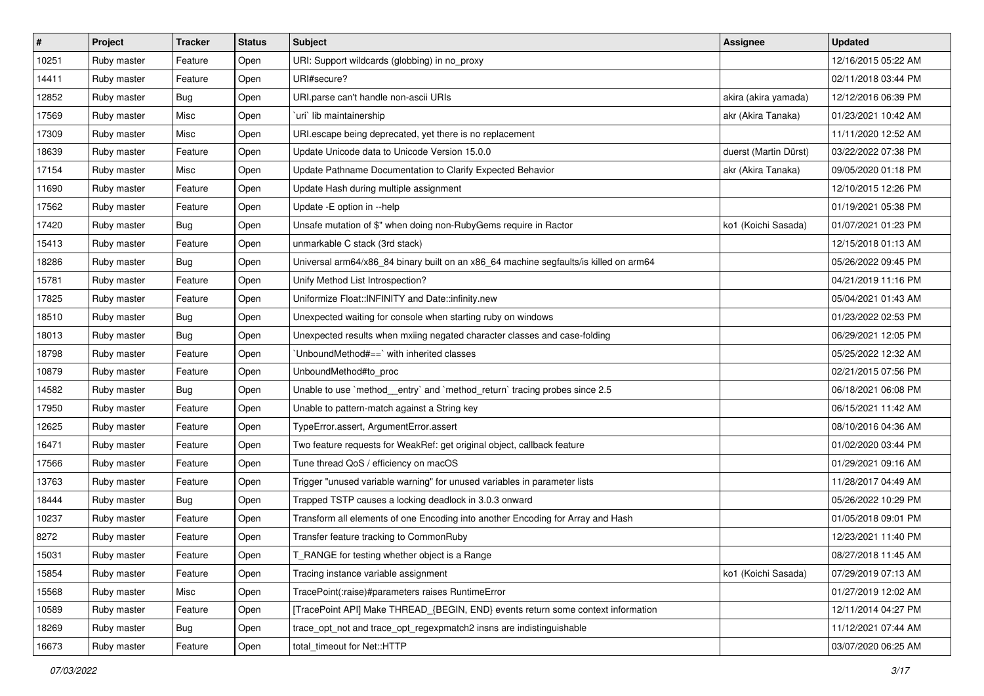| #     | Project     | <b>Tracker</b> | <b>Status</b> | <b>Subject</b>                                                                        | <b>Assignee</b>       | <b>Updated</b>      |
|-------|-------------|----------------|---------------|---------------------------------------------------------------------------------------|-----------------------|---------------------|
| 10251 | Ruby master | Feature        | Open          | URI: Support wildcards (globbing) in no_proxy                                         |                       | 12/16/2015 05:22 AM |
| 14411 | Ruby master | Feature        | Open          | URI#secure?                                                                           |                       | 02/11/2018 03:44 PM |
| 12852 | Ruby master | <b>Bug</b>     | Open          | URI parse can't handle non-ascii URIs                                                 | akira (akira yamada)  | 12/12/2016 06:39 PM |
| 17569 | Ruby master | Misc           | Open          | uri lib maintainership                                                                | akr (Akira Tanaka)    | 01/23/2021 10:42 AM |
| 17309 | Ruby master | Misc           | Open          | URI escape being deprecated, yet there is no replacement                              |                       | 11/11/2020 12:52 AM |
| 18639 | Ruby master | Feature        | Open          | Update Unicode data to Unicode Version 15.0.0                                         | duerst (Martin Dürst) | 03/22/2022 07:38 PM |
| 17154 | Ruby master | Misc           | Open          | Update Pathname Documentation to Clarify Expected Behavior                            | akr (Akira Tanaka)    | 09/05/2020 01:18 PM |
| 11690 | Ruby master | Feature        | Open          | Update Hash during multiple assignment                                                |                       | 12/10/2015 12:26 PM |
| 17562 | Ruby master | Feature        | Open          | Update -E option in --help                                                            |                       | 01/19/2021 05:38 PM |
| 17420 | Ruby master | <b>Bug</b>     | Open          | Unsafe mutation of \$" when doing non-RubyGems require in Ractor                      | ko1 (Koichi Sasada)   | 01/07/2021 01:23 PM |
| 15413 | Ruby master | Feature        | Open          | unmarkable C stack (3rd stack)                                                        |                       | 12/15/2018 01:13 AM |
| 18286 | Ruby master | <b>Bug</b>     | Open          | Universal arm64/x86_84 binary built on an x86_64 machine segfaults/is killed on arm64 |                       | 05/26/2022 09:45 PM |
| 15781 | Ruby master | Feature        | Open          | Unify Method List Introspection?                                                      |                       | 04/21/2019 11:16 PM |
| 17825 | Ruby master | Feature        | Open          | Uniformize Float::INFINITY and Date::infinity.new                                     |                       | 05/04/2021 01:43 AM |
| 18510 | Ruby master | <b>Bug</b>     | Open          | Unexpected waiting for console when starting ruby on windows                          |                       | 01/23/2022 02:53 PM |
| 18013 | Ruby master | <b>Bug</b>     | Open          | Unexpected results when mxiing negated character classes and case-folding             |                       | 06/29/2021 12:05 PM |
| 18798 | Ruby master | Feature        | Open          | UnboundMethod#==`with inherited classes                                               |                       | 05/25/2022 12:32 AM |
| 10879 | Ruby master | Feature        | Open          | UnboundMethod#to_proc                                                                 |                       | 02/21/2015 07:56 PM |
| 14582 | Ruby master | Bug            | Open          | Unable to use `method_entry` and `method_return` tracing probes since 2.5             |                       | 06/18/2021 06:08 PM |
| 17950 | Ruby master | Feature        | Open          | Unable to pattern-match against a String key                                          |                       | 06/15/2021 11:42 AM |
| 12625 | Ruby master | Feature        | Open          | TypeError.assert, ArgumentError.assert                                                |                       | 08/10/2016 04:36 AM |
| 16471 | Ruby master | Feature        | Open          | Two feature requests for WeakRef: get original object, callback feature               |                       | 01/02/2020 03:44 PM |
| 17566 | Ruby master | Feature        | Open          | Tune thread QoS / efficiency on macOS                                                 |                       | 01/29/2021 09:16 AM |
| 13763 | Ruby master | Feature        | Open          | Trigger "unused variable warning" for unused variables in parameter lists             |                       | 11/28/2017 04:49 AM |
| 18444 | Ruby master | Bug            | Open          | Trapped TSTP causes a locking deadlock in 3.0.3 onward                                |                       | 05/26/2022 10:29 PM |
| 10237 | Ruby master | Feature        | Open          | Transform all elements of one Encoding into another Encoding for Array and Hash       |                       | 01/05/2018 09:01 PM |
| 8272  | Ruby master | Feature        | Open          | Transfer feature tracking to CommonRuby                                               |                       | 12/23/2021 11:40 PM |
| 15031 | Ruby master | Feature        | Open          | T_RANGE for testing whether object is a Range                                         |                       | 08/27/2018 11:45 AM |
| 15854 | Ruby master | Feature        | Open          | Tracing instance variable assignment                                                  | ko1 (Koichi Sasada)   | 07/29/2019 07:13 AM |
| 15568 | Ruby master | Misc           | Open          | TracePoint(:raise)#parameters raises RuntimeError                                     |                       | 01/27/2019 12:02 AM |
| 10589 | Ruby master | Feature        | Open          | [TracePoint API] Make THREAD_{BEGIN, END} events return some context information      |                       | 12/11/2014 04:27 PM |
| 18269 | Ruby master | <b>Bug</b>     | Open          | trace opt not and trace opt regexpmatch2 insns are indistinguishable                  |                       | 11/12/2021 07:44 AM |
| 16673 | Ruby master | Feature        | Open          | total_timeout for Net::HTTP                                                           |                       | 03/07/2020 06:25 AM |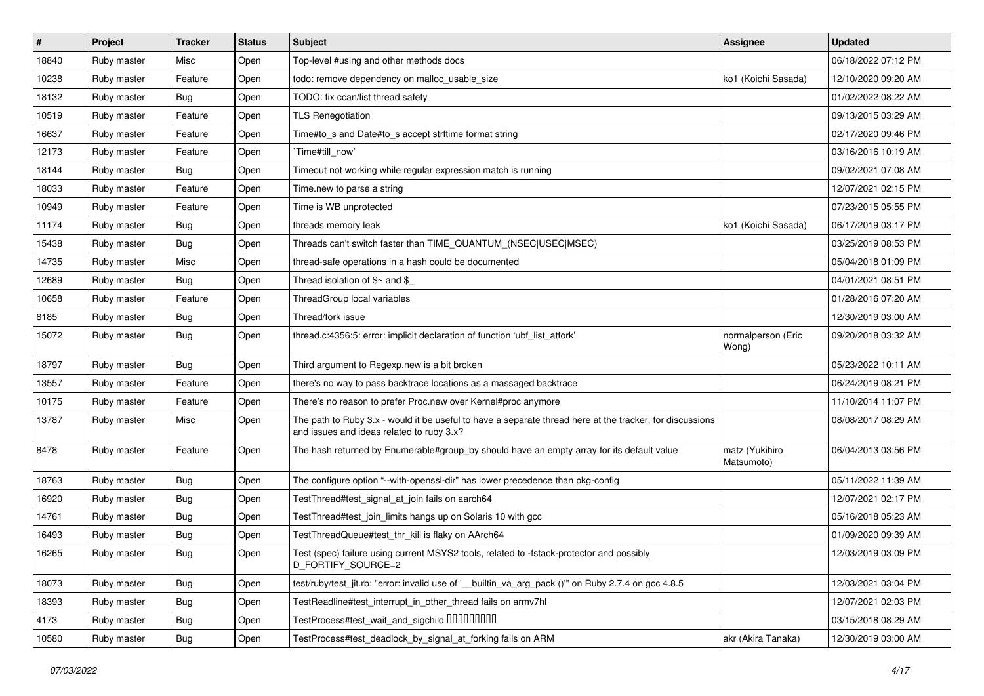| #     | Project     | <b>Tracker</b> | <b>Status</b> | <b>Subject</b>                                                                                                                                        | <b>Assignee</b>              | <b>Updated</b>      |
|-------|-------------|----------------|---------------|-------------------------------------------------------------------------------------------------------------------------------------------------------|------------------------------|---------------------|
| 18840 | Ruby master | Misc           | Open          | Top-level #using and other methods docs                                                                                                               |                              | 06/18/2022 07:12 PM |
| 10238 | Ruby master | Feature        | Open          | todo: remove dependency on malloc_usable_size                                                                                                         | ko1 (Koichi Sasada)          | 12/10/2020 09:20 AM |
| 18132 | Ruby master | <b>Bug</b>     | Open          | TODO: fix ccan/list thread safety                                                                                                                     |                              | 01/02/2022 08:22 AM |
| 10519 | Ruby master | Feature        | Open          | <b>TLS Renegotiation</b>                                                                                                                              |                              | 09/13/2015 03:29 AM |
| 16637 | Ruby master | Feature        | Open          | Time#to_s and Date#to_s accept strftime format string                                                                                                 |                              | 02/17/2020 09:46 PM |
| 12173 | Ruby master | Feature        | Open          | Time#till now`                                                                                                                                        |                              | 03/16/2016 10:19 AM |
| 18144 | Ruby master | <b>Bug</b>     | Open          | Timeout not working while regular expression match is running                                                                                         |                              | 09/02/2021 07:08 AM |
| 18033 | Ruby master | Feature        | Open          | Time.new to parse a string                                                                                                                            |                              | 12/07/2021 02:15 PM |
| 10949 | Ruby master | Feature        | Open          | Time is WB unprotected                                                                                                                                |                              | 07/23/2015 05:55 PM |
| 11174 | Ruby master | <b>Bug</b>     | Open          | threads memory leak                                                                                                                                   | ko1 (Koichi Sasada)          | 06/17/2019 03:17 PM |
| 15438 | Ruby master | <b>Bug</b>     | Open          | Threads can't switch faster than TIME_QUANTUM_(NSEC USEC MSEC)                                                                                        |                              | 03/25/2019 08:53 PM |
| 14735 | Ruby master | Misc           | Open          | thread-safe operations in a hash could be documented                                                                                                  |                              | 05/04/2018 01:09 PM |
| 12689 | Ruby master | <b>Bug</b>     | Open          | Thread isolation of $$~$ and \$                                                                                                                       |                              | 04/01/2021 08:51 PM |
| 10658 | Ruby master | Feature        | Open          | ThreadGroup local variables                                                                                                                           |                              | 01/28/2016 07:20 AM |
| 8185  | Ruby master | <b>Bug</b>     | Open          | Thread/fork issue                                                                                                                                     |                              | 12/30/2019 03:00 AM |
| 15072 | Ruby master | <b>Bug</b>     | Open          | thread.c:4356:5: error: implicit declaration of function 'ubf list atfork'                                                                            | normalperson (Eric<br>Wong)  | 09/20/2018 03:32 AM |
| 18797 | Ruby master | <b>Bug</b>     | Open          | Third argument to Regexp.new is a bit broken                                                                                                          |                              | 05/23/2022 10:11 AM |
| 13557 | Ruby master | Feature        | Open          | there's no way to pass backtrace locations as a massaged backtrace                                                                                    |                              | 06/24/2019 08:21 PM |
| 10175 | Ruby master | Feature        | Open          | There's no reason to prefer Proc.new over Kernel#proc anymore                                                                                         |                              | 11/10/2014 11:07 PM |
| 13787 | Ruby master | Misc           | Open          | The path to Ruby 3.x - would it be useful to have a separate thread here at the tracker, for discussions<br>and issues and ideas related to ruby 3.x? |                              | 08/08/2017 08:29 AM |
| 8478  | Ruby master | Feature        | Open          | The hash returned by Enumerable#group_by should have an empty array for its default value                                                             | matz (Yukihiro<br>Matsumoto) | 06/04/2013 03:56 PM |
| 18763 | Ruby master | Bug            | Open          | The configure option "--with-openssl-dir" has lower precedence than pkg-config                                                                        |                              | 05/11/2022 11:39 AM |
| 16920 | Ruby master | <b>Bug</b>     | Open          | TestThread#test_signal_at_join fails on aarch64                                                                                                       |                              | 12/07/2021 02:17 PM |
| 14761 | Ruby master | <b>Bug</b>     | Open          | TestThread#test_join_limits hangs up on Solaris 10 with gcc                                                                                           |                              | 05/16/2018 05:23 AM |
| 16493 | Ruby master | <b>Bug</b>     | Open          | TestThreadQueue#test thr kill is flaky on AArch64                                                                                                     |                              | 01/09/2020 09:39 AM |
| 16265 | Ruby master | Bug            | Open          | Test (spec) failure using current MSYS2 tools, related to -fstack-protector and possibly<br>D_FORTIFY_SOURCE=2                                        |                              | 12/03/2019 03:09 PM |
| 18073 | Ruby master | <b>Bug</b>     | Open          | test/ruby/test_jit.rb: "error: invalid use of '__builtin_va_arg_pack ()" on Ruby 2.7.4 on gcc 4.8.5                                                   |                              | 12/03/2021 03:04 PM |
| 18393 | Ruby master | <b>Bug</b>     | Open          | TestReadline#test_interrupt_in_other_thread fails on armv7hl                                                                                          |                              | 12/07/2021 02:03 PM |
| 4173  | Ruby master | <b>Bug</b>     | Open          | TestProcess#test_wait_and_sigchild DDDDDDDD                                                                                                           |                              | 03/15/2018 08:29 AM |
| 10580 | Ruby master | <b>Bug</b>     | Open          | TestProcess#test_deadlock_by_signal_at_forking fails on ARM                                                                                           | akr (Akira Tanaka)           | 12/30/2019 03:00 AM |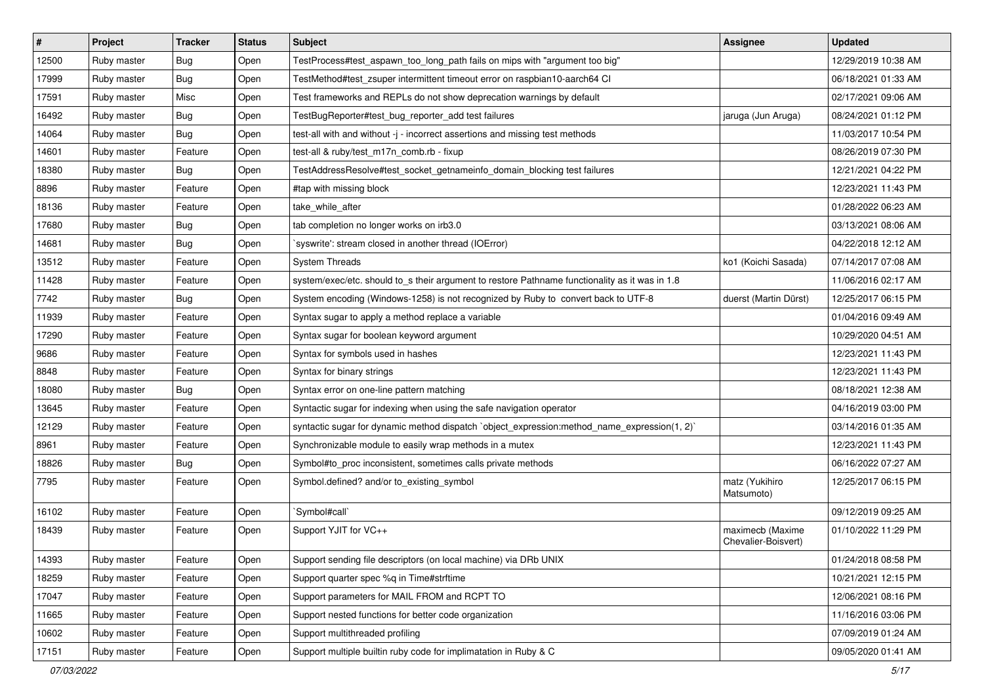| $\vert$ # | Project     | <b>Tracker</b> | <b>Status</b> | Subject                                                                                        | <b>Assignee</b>                         | <b>Updated</b>      |
|-----------|-------------|----------------|---------------|------------------------------------------------------------------------------------------------|-----------------------------------------|---------------------|
| 12500     | Ruby master | Bug            | Open          | TestProcess#test aspawn too long path fails on mips with "argument too big"                    |                                         | 12/29/2019 10:38 AM |
| 17999     | Ruby master | Bug            | Open          | TestMethod#test_zsuper intermittent timeout error on raspbian10-aarch64 Cl                     |                                         | 06/18/2021 01:33 AM |
| 17591     | Ruby master | Misc           | Open          | Test frameworks and REPLs do not show deprecation warnings by default                          |                                         | 02/17/2021 09:06 AM |
| 16492     | Ruby master | Bug            | Open          | TestBugReporter#test_bug_reporter_add test failures                                            | jaruga (Jun Aruga)                      | 08/24/2021 01:12 PM |
| 14064     | Ruby master | <b>Bug</b>     | Open          | test-all with and without -j - incorrect assertions and missing test methods                   |                                         | 11/03/2017 10:54 PM |
| 14601     | Ruby master | Feature        | Open          | test-all & ruby/test_m17n_comb.rb - fixup                                                      |                                         | 08/26/2019 07:30 PM |
| 18380     | Ruby master | Bug            | Open          | TestAddressResolve#test_socket_getnameinfo_domain_blocking test failures                       |                                         | 12/21/2021 04:22 PM |
| 8896      | Ruby master | Feature        | Open          | #tap with missing block                                                                        |                                         | 12/23/2021 11:43 PM |
| 18136     | Ruby master | Feature        | Open          | take_while_after                                                                               |                                         | 01/28/2022 06:23 AM |
| 17680     | Ruby master | Bug            | Open          | tab completion no longer works on irb3.0                                                       |                                         | 03/13/2021 08:06 AM |
| 14681     | Ruby master | Bug            | Open          | syswrite': stream closed in another thread (IOError)                                           |                                         | 04/22/2018 12:12 AM |
| 13512     | Ruby master | Feature        | Open          | <b>System Threads</b>                                                                          | ko1 (Koichi Sasada)                     | 07/14/2017 07:08 AM |
| 11428     | Ruby master | Feature        | Open          | system/exec/etc. should to s their argument to restore Pathname functionality as it was in 1.8 |                                         | 11/06/2016 02:17 AM |
| 7742      | Ruby master | Bug            | Open          | System encoding (Windows-1258) is not recognized by Ruby to convert back to UTF-8              | duerst (Martin Dürst)                   | 12/25/2017 06:15 PM |
| 11939     | Ruby master | Feature        | Open          | Syntax sugar to apply a method replace a variable                                              |                                         | 01/04/2016 09:49 AM |
| 17290     | Ruby master | Feature        | Open          | Syntax sugar for boolean keyword argument                                                      |                                         | 10/29/2020 04:51 AM |
| 9686      | Ruby master | Feature        | Open          | Syntax for symbols used in hashes                                                              |                                         | 12/23/2021 11:43 PM |
| 8848      | Ruby master | Feature        | Open          | Syntax for binary strings                                                                      |                                         | 12/23/2021 11:43 PM |
| 18080     | Ruby master | Bug            | Open          | Syntax error on one-line pattern matching                                                      |                                         | 08/18/2021 12:38 AM |
| 13645     | Ruby master | Feature        | Open          | Syntactic sugar for indexing when using the safe navigation operator                           |                                         | 04/16/2019 03:00 PM |
| 12129     | Ruby master | Feature        | Open          | syntactic sugar for dynamic method dispatch `object_expression:method_name_expression(1, 2)`   |                                         | 03/14/2016 01:35 AM |
| 8961      | Ruby master | Feature        | Open          | Synchronizable module to easily wrap methods in a mutex                                        |                                         | 12/23/2021 11:43 PM |
| 18826     | Ruby master | Bug            | Open          | Symbol#to_proc inconsistent, sometimes calls private methods                                   |                                         | 06/16/2022 07:27 AM |
| 7795      | Ruby master | Feature        | Open          | Symbol.defined? and/or to_existing_symbol                                                      | matz (Yukihiro<br>Matsumoto)            | 12/25/2017 06:15 PM |
| 16102     | Ruby master | Feature        | Open          | 'Symbol#call'                                                                                  |                                         | 09/12/2019 09:25 AM |
| 18439     | Ruby master | Feature        | Open          | Support YJIT for VC++                                                                          | maximecb (Maxime<br>Chevalier-Boisvert) | 01/10/2022 11:29 PM |
| 14393     | Ruby master | Feature        | Open          | Support sending file descriptors (on local machine) via DRb UNIX                               |                                         | 01/24/2018 08:58 PM |
| 18259     | Ruby master | Feature        | Open          | Support quarter spec %q in Time#strftime                                                       |                                         | 10/21/2021 12:15 PM |
| 17047     | Ruby master | Feature        | Open          | Support parameters for MAIL FROM and RCPT TO                                                   |                                         | 12/06/2021 08:16 PM |
| 11665     | Ruby master | Feature        | Open          | Support nested functions for better code organization                                          |                                         | 11/16/2016 03:06 PM |
| 10602     | Ruby master | Feature        | Open          | Support multithreaded profiling                                                                |                                         | 07/09/2019 01:24 AM |
| 17151     | Ruby master | Feature        | Open          | Support multiple builtin ruby code for implimatation in Ruby & C                               |                                         | 09/05/2020 01:41 AM |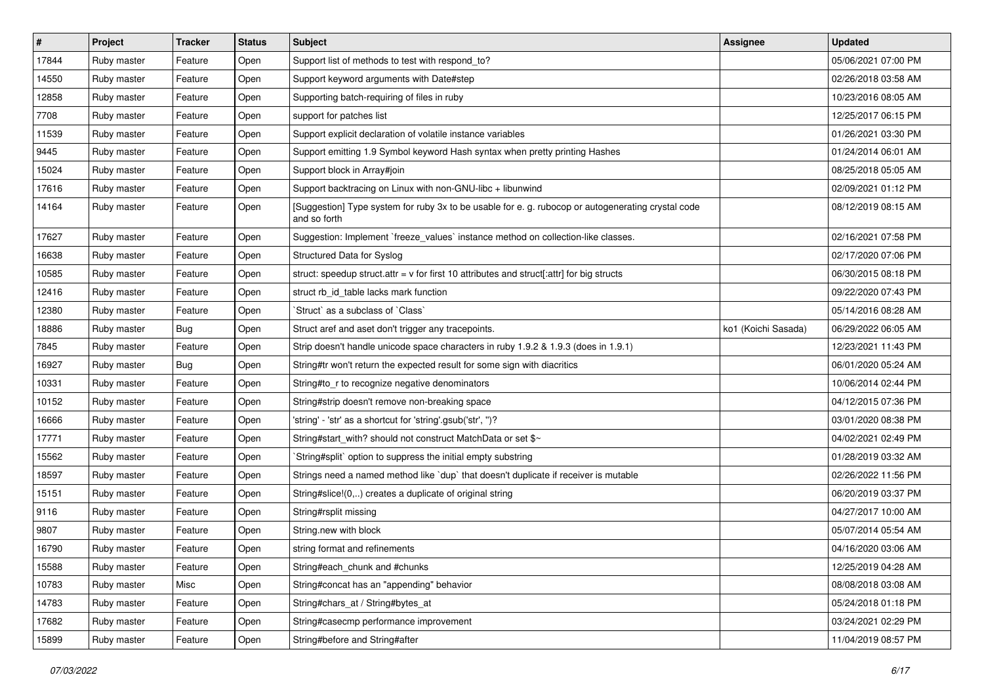| $\vert$ # | Project     | Tracker | <b>Status</b> | <b>Subject</b>                                                                                                     | <b>Assignee</b>     | <b>Updated</b>      |
|-----------|-------------|---------|---------------|--------------------------------------------------------------------------------------------------------------------|---------------------|---------------------|
| 17844     | Ruby master | Feature | Open          | Support list of methods to test with respond_to?                                                                   |                     | 05/06/2021 07:00 PM |
| 14550     | Ruby master | Feature | Open          | Support keyword arguments with Date#step                                                                           |                     | 02/26/2018 03:58 AM |
| 12858     | Ruby master | Feature | Open          | Supporting batch-requiring of files in ruby                                                                        |                     | 10/23/2016 08:05 AM |
| 7708      | Ruby master | Feature | Open          | support for patches list                                                                                           |                     | 12/25/2017 06:15 PM |
| 11539     | Ruby master | Feature | Open          | Support explicit declaration of volatile instance variables                                                        |                     | 01/26/2021 03:30 PM |
| 9445      | Ruby master | Feature | Open          | Support emitting 1.9 Symbol keyword Hash syntax when pretty printing Hashes                                        |                     | 01/24/2014 06:01 AM |
| 15024     | Ruby master | Feature | Open          | Support block in Array#join                                                                                        |                     | 08/25/2018 05:05 AM |
| 17616     | Ruby master | Feature | Open          | Support backtracing on Linux with non-GNU-libc + libunwind                                                         |                     | 02/09/2021 01:12 PM |
| 14164     | Ruby master | Feature | Open          | [Suggestion] Type system for ruby 3x to be usable for e. g. rubocop or autogenerating crystal code<br>and so forth |                     | 08/12/2019 08:15 AM |
| 17627     | Ruby master | Feature | Open          | Suggestion: Implement `freeze_values` instance method on collection-like classes.                                  |                     | 02/16/2021 07:58 PM |
| 16638     | Ruby master | Feature | Open          | Structured Data for Syslog                                                                                         |                     | 02/17/2020 07:06 PM |
| 10585     | Ruby master | Feature | Open          | struct: speedup struct.attr = $v$ for first 10 attributes and struct[:attr] for big structs                        |                     | 06/30/2015 08:18 PM |
| 12416     | Ruby master | Feature | Open          | struct rb_id_table lacks mark function                                                                             |                     | 09/22/2020 07:43 PM |
| 12380     | Ruby master | Feature | Open          | Struct` as a subclass of `Class`                                                                                   |                     | 05/14/2016 08:28 AM |
| 18886     | Ruby master | Bug     | Open          | Struct aref and aset don't trigger any tracepoints.                                                                | ko1 (Koichi Sasada) | 06/29/2022 06:05 AM |
| 7845      | Ruby master | Feature | Open          | Strip doesn't handle unicode space characters in ruby 1.9.2 & 1.9.3 (does in 1.9.1)                                |                     | 12/23/2021 11:43 PM |
| 16927     | Ruby master | Bug     | Open          | String#tr won't return the expected result for some sign with diacritics                                           |                     | 06/01/2020 05:24 AM |
| 10331     | Ruby master | Feature | Open          | String#to_r to recognize negative denominators                                                                     |                     | 10/06/2014 02:44 PM |
| 10152     | Ruby master | Feature | Open          | String#strip doesn't remove non-breaking space                                                                     |                     | 04/12/2015 07:36 PM |
| 16666     | Ruby master | Feature | Open          | 'string' - 'str' as a shortcut for 'string'.gsub('str', ")?                                                        |                     | 03/01/2020 08:38 PM |
| 17771     | Ruby master | Feature | Open          | String#start_with? should not construct MatchData or set \$~                                                       |                     | 04/02/2021 02:49 PM |
| 15562     | Ruby master | Feature | Open          | String#split` option to suppress the initial empty substring                                                       |                     | 01/28/2019 03:32 AM |
| 18597     | Ruby master | Feature | Open          | Strings need a named method like `dup` that doesn't duplicate if receiver is mutable                               |                     | 02/26/2022 11:56 PM |
| 15151     | Ruby master | Feature | Open          | String#slice!(0,) creates a duplicate of original string                                                           |                     | 06/20/2019 03:37 PM |
| 9116      | Ruby master | Feature | Open          | String#rsplit missing                                                                                              |                     | 04/27/2017 10:00 AM |
| 9807      | Ruby master | Feature | Open          | String.new with block                                                                                              |                     | 05/07/2014 05:54 AM |
| 16790     | Ruby master | Feature | Open          | string format and refinements                                                                                      |                     | 04/16/2020 03:06 AM |
| 15588     | Ruby master | Feature | Open          | String#each_chunk and #chunks                                                                                      |                     | 12/25/2019 04:28 AM |
| 10783     | Ruby master | Misc    | Open          | String#concat has an "appending" behavior                                                                          |                     | 08/08/2018 03:08 AM |
| 14783     | Ruby master | Feature | Open          | String#chars_at / String#bytes_at                                                                                  |                     | 05/24/2018 01:18 PM |
| 17682     | Ruby master | Feature | Open          | String#casecmp performance improvement                                                                             |                     | 03/24/2021 02:29 PM |
| 15899     | Ruby master | Feature | Open          | String#before and String#after                                                                                     |                     | 11/04/2019 08:57 PM |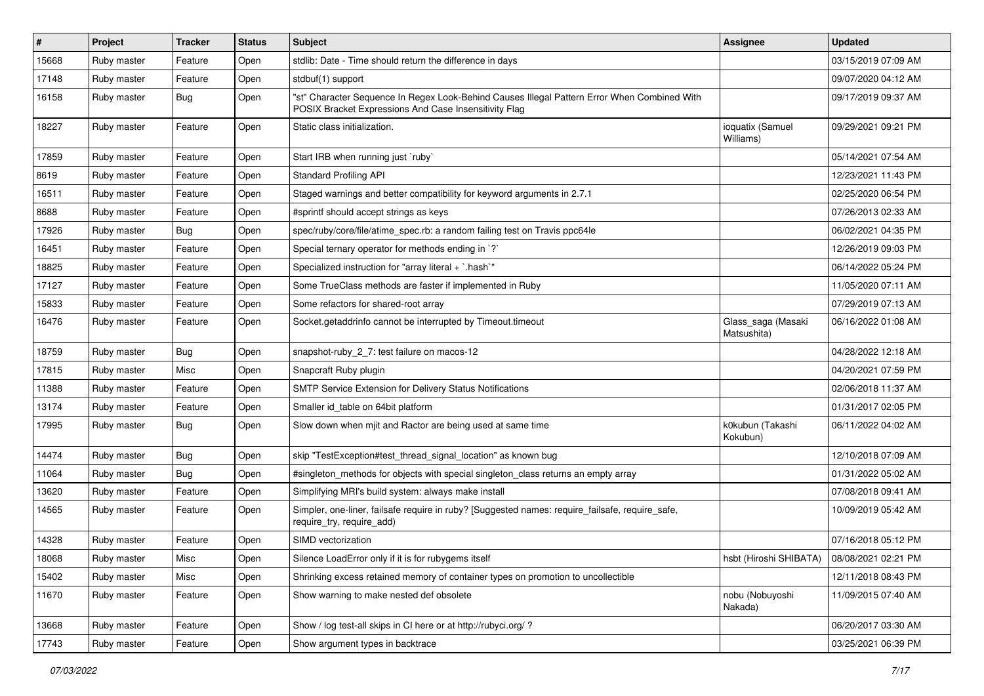| #     | Project     | <b>Tracker</b> | <b>Status</b> | <b>Subject</b>                                                                                                                                        | Assignee                          | <b>Updated</b>      |
|-------|-------------|----------------|---------------|-------------------------------------------------------------------------------------------------------------------------------------------------------|-----------------------------------|---------------------|
| 15668 | Ruby master | Feature        | Open          | stdlib: Date - Time should return the difference in days                                                                                              |                                   | 03/15/2019 07:09 AM |
| 17148 | Ruby master | Feature        | Open          | stdbuf(1) support                                                                                                                                     |                                   | 09/07/2020 04:12 AM |
| 16158 | Ruby master | <b>Bug</b>     | Open          | "st" Character Sequence In Regex Look-Behind Causes Illegal Pattern Error When Combined With<br>POSIX Bracket Expressions And Case Insensitivity Flag |                                   | 09/17/2019 09:37 AM |
| 18227 | Ruby master | Feature        | Open          | Static class initialization.                                                                                                                          | ioquatix (Samuel<br>Williams)     | 09/29/2021 09:21 PM |
| 17859 | Ruby master | Feature        | Open          | Start IRB when running just `ruby`                                                                                                                    |                                   | 05/14/2021 07:54 AM |
| 8619  | Ruby master | Feature        | Open          | <b>Standard Profiling API</b>                                                                                                                         |                                   | 12/23/2021 11:43 PM |
| 16511 | Ruby master | Feature        | Open          | Staged warnings and better compatibility for keyword arguments in 2.7.1                                                                               |                                   | 02/25/2020 06:54 PM |
| 8688  | Ruby master | Feature        | Open          | #sprintf should accept strings as keys                                                                                                                |                                   | 07/26/2013 02:33 AM |
| 17926 | Ruby master | <b>Bug</b>     | Open          | spec/ruby/core/file/atime_spec.rb: a random failing test on Travis ppc64le                                                                            |                                   | 06/02/2021 04:35 PM |
| 16451 | Ruby master | Feature        | Open          | Special ternary operator for methods ending in `?`                                                                                                    |                                   | 12/26/2019 09:03 PM |
| 18825 | Ruby master | Feature        | Open          | Specialized instruction for "array literal + `.hash`"                                                                                                 |                                   | 06/14/2022 05:24 PM |
| 17127 | Ruby master | Feature        | Open          | Some TrueClass methods are faster if implemented in Ruby                                                                                              |                                   | 11/05/2020 07:11 AM |
| 15833 | Ruby master | Feature        | Open          | Some refactors for shared-root array                                                                                                                  |                                   | 07/29/2019 07:13 AM |
| 16476 | Ruby master | Feature        | Open          | Socket.getaddrinfo cannot be interrupted by Timeout.timeout                                                                                           | Glass_saga (Masaki<br>Matsushita) | 06/16/2022 01:08 AM |
| 18759 | Ruby master | Bug            | Open          | snapshot-ruby_2_7: test failure on macos-12                                                                                                           |                                   | 04/28/2022 12:18 AM |
| 17815 | Ruby master | Misc           | Open          | Snapcraft Ruby plugin                                                                                                                                 |                                   | 04/20/2021 07:59 PM |
| 11388 | Ruby master | Feature        | Open          | SMTP Service Extension for Delivery Status Notifications                                                                                              |                                   | 02/06/2018 11:37 AM |
| 13174 | Ruby master | Feature        | Open          | Smaller id_table on 64bit platform                                                                                                                    |                                   | 01/31/2017 02:05 PM |
| 17995 | Ruby master | <b>Bug</b>     | Open          | Slow down when mjit and Ractor are being used at same time                                                                                            | k0kubun (Takashi<br>Kokubun)      | 06/11/2022 04:02 AM |
| 14474 | Ruby master | <b>Bug</b>     | Open          | skip "TestException#test_thread_signal_location" as known bug                                                                                         |                                   | 12/10/2018 07:09 AM |
| 11064 | Ruby master | <b>Bug</b>     | Open          | #singleton_methods for objects with special singleton_class returns an empty array                                                                    |                                   | 01/31/2022 05:02 AM |
| 13620 | Ruby master | Feature        | Open          | Simplifying MRI's build system: always make install                                                                                                   |                                   | 07/08/2018 09:41 AM |
| 14565 | Ruby master | Feature        | Open          | Simpler, one-liner, failsafe require in ruby? [Suggested names: require_failsafe, require_safe,<br>require_try, require_add)                          |                                   | 10/09/2019 05:42 AM |
| 14328 | Ruby master | Feature        | Open          | SIMD vectorization                                                                                                                                    |                                   | 07/16/2018 05:12 PM |
| 18068 | Ruby master | Misc           | Open          | Silence LoadError only if it is for rubygems itself                                                                                                   | hsbt (Hiroshi SHIBATA)            | 08/08/2021 02:21 PM |
| 15402 | Ruby master | Misc           | Open          | Shrinking excess retained memory of container types on promotion to uncollectible                                                                     |                                   | 12/11/2018 08:43 PM |
| 11670 | Ruby master | Feature        | Open          | Show warning to make nested def obsolete                                                                                                              | nobu (Nobuyoshi<br>Nakada)        | 11/09/2015 07:40 AM |
| 13668 | Ruby master | Feature        | Open          | Show / log test-all skips in CI here or at http://rubyci.org/ ?                                                                                       |                                   | 06/20/2017 03:30 AM |
| 17743 | Ruby master | Feature        | Open          | Show argument types in backtrace                                                                                                                      |                                   | 03/25/2021 06:39 PM |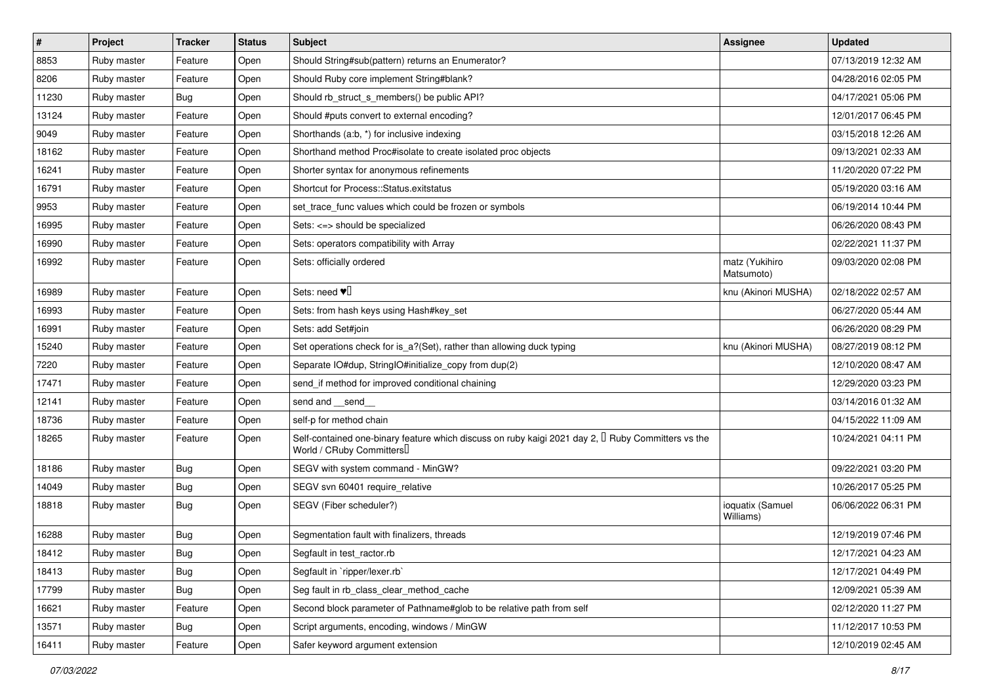| $\sharp$ | Project     | <b>Tracker</b> | <b>Status</b> | <b>Subject</b>                                                                                                                      | Assignee                      | <b>Updated</b>      |
|----------|-------------|----------------|---------------|-------------------------------------------------------------------------------------------------------------------------------------|-------------------------------|---------------------|
| 8853     | Ruby master | Feature        | Open          | Should String#sub(pattern) returns an Enumerator?                                                                                   |                               | 07/13/2019 12:32 AM |
| 8206     | Ruby master | Feature        | Open          | Should Ruby core implement String#blank?                                                                                            |                               | 04/28/2016 02:05 PM |
| 11230    | Ruby master | Bug            | Open          | Should rb struct s members() be public API?                                                                                         |                               | 04/17/2021 05:06 PM |
| 13124    | Ruby master | Feature        | Open          | Should #puts convert to external encoding?                                                                                          |                               | 12/01/2017 06:45 PM |
| 9049     | Ruby master | Feature        | Open          | Shorthands (a:b, *) for inclusive indexing                                                                                          |                               | 03/15/2018 12:26 AM |
| 18162    | Ruby master | Feature        | Open          | Shorthand method Proc#isolate to create isolated proc objects                                                                       |                               | 09/13/2021 02:33 AM |
| 16241    | Ruby master | Feature        | Open          | Shorter syntax for anonymous refinements                                                                                            |                               | 11/20/2020 07:22 PM |
| 16791    | Ruby master | Feature        | Open          | Shortcut for Process::Status.exitstatus                                                                                             |                               | 05/19/2020 03:16 AM |
| 9953     | Ruby master | Feature        | Open          | set_trace_func values which could be frozen or symbols                                                                              |                               | 06/19/2014 10:44 PM |
| 16995    | Ruby master | Feature        | Open          | Sets: <=> should be specialized                                                                                                     |                               | 06/26/2020 08:43 PM |
| 16990    | Ruby master | Feature        | Open          | Sets: operators compatibility with Array                                                                                            |                               | 02/22/2021 11:37 PM |
| 16992    | Ruby master | Feature        | Open          | Sets: officially ordered                                                                                                            | matz (Yukihiro<br>Matsumoto)  | 09/03/2020 02:08 PM |
| 16989    | Ruby master | Feature        | Open          | Sets: need $\Psi$                                                                                                                   | knu (Akinori MUSHA)           | 02/18/2022 02:57 AM |
| 16993    | Ruby master | Feature        | Open          | Sets: from hash keys using Hash#key_set                                                                                             |                               | 06/27/2020 05:44 AM |
| 16991    | Ruby master | Feature        | Open          | Sets: add Set#join                                                                                                                  |                               | 06/26/2020 08:29 PM |
| 15240    | Ruby master | Feature        | Open          | Set operations check for is_a?(Set), rather than allowing duck typing                                                               | knu (Akinori MUSHA)           | 08/27/2019 08:12 PM |
| 7220     | Ruby master | Feature        | Open          | Separate IO#dup, StringIO#initialize_copy from dup(2)                                                                               |                               | 12/10/2020 08:47 AM |
| 17471    | Ruby master | Feature        | Open          | send if method for improved conditional chaining                                                                                    |                               | 12/29/2020 03:23 PM |
| 12141    | Ruby master | Feature        | Open          | send and __send_                                                                                                                    |                               | 03/14/2016 01:32 AM |
| 18736    | Ruby master | Feature        | Open          | self-p for method chain                                                                                                             |                               | 04/15/2022 11:09 AM |
| 18265    | Ruby master | Feature        | Open          | Self-contained one-binary feature which discuss on ruby kaigi 2021 day 2, $\Box$ Ruby Committers vs the<br>World / CRuby Committers |                               | 10/24/2021 04:11 PM |
| 18186    | Ruby master | Bug            | Open          | SEGV with system command - MinGW?                                                                                                   |                               | 09/22/2021 03:20 PM |
| 14049    | Ruby master | Bug            | Open          | SEGV svn 60401 require_relative                                                                                                     |                               | 10/26/2017 05:25 PM |
| 18818    | Ruby master | Bug            | Open          | SEGV (Fiber scheduler?)                                                                                                             | ioquatix (Samuel<br>Williams) | 06/06/2022 06:31 PM |
| 16288    | Ruby master | Bug            | Open          | Segmentation fault with finalizers, threads                                                                                         |                               | 12/19/2019 07:46 PM |
| 18412    | Ruby master | Bug            | Open          | Segfault in test_ractor.rb                                                                                                          |                               | 12/17/2021 04:23 AM |
| 18413    | Ruby master | Bug            | Open          | Segfault in `ripper/lexer.rb`                                                                                                       |                               | 12/17/2021 04:49 PM |
| 17799    | Ruby master | <b>Bug</b>     | Open          | Seg fault in rb class clear method cache                                                                                            |                               | 12/09/2021 05:39 AM |
| 16621    | Ruby master | Feature        | Open          | Second block parameter of Pathname#glob to be relative path from self                                                               |                               | 02/12/2020 11:27 PM |
| 13571    | Ruby master | Bug            | Open          | Script arguments, encoding, windows / MinGW                                                                                         |                               | 11/12/2017 10:53 PM |
| 16411    | Ruby master | Feature        | Open          | Safer keyword argument extension                                                                                                    |                               | 12/10/2019 02:45 AM |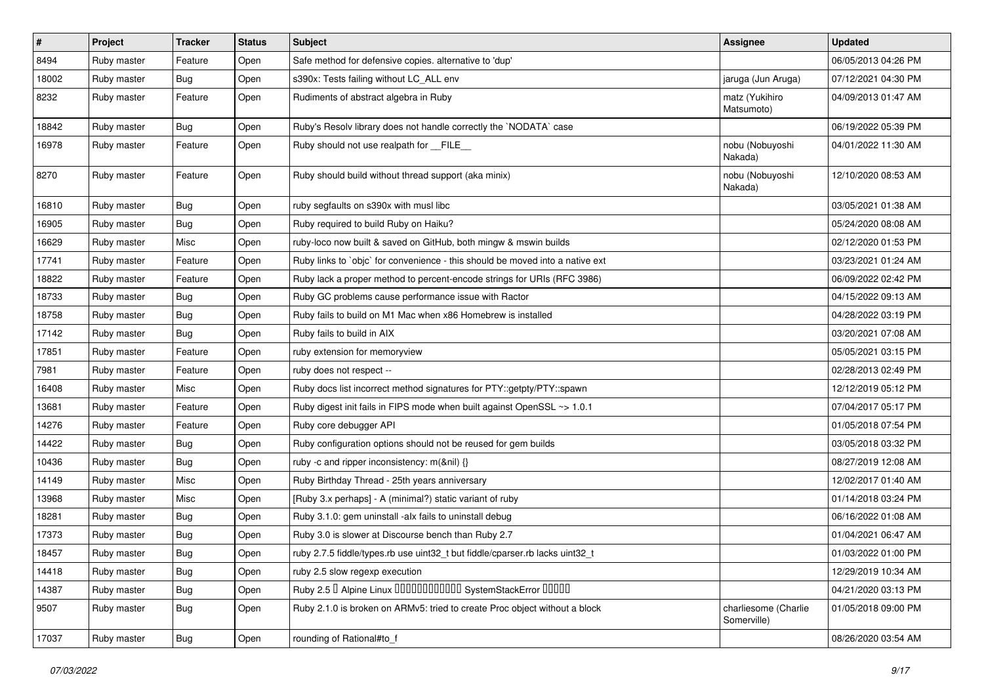| $\vert$ # | Project     | <b>Tracker</b> | <b>Status</b> | <b>Subject</b>                                                                | <b>Assignee</b>                     | <b>Updated</b>      |
|-----------|-------------|----------------|---------------|-------------------------------------------------------------------------------|-------------------------------------|---------------------|
| 8494      | Ruby master | Feature        | Open          | Safe method for defensive copies. alternative to 'dup'                        |                                     | 06/05/2013 04:26 PM |
| 18002     | Ruby master | <b>Bug</b>     | Open          | s390x: Tests failing without LC_ALL env                                       | jaruga (Jun Aruga)                  | 07/12/2021 04:30 PM |
| 8232      | Ruby master | Feature        | Open          | Rudiments of abstract algebra in Ruby                                         | matz (Yukihiro<br>Matsumoto)        | 04/09/2013 01:47 AM |
| 18842     | Ruby master | <b>Bug</b>     | Open          | Ruby's Resolv library does not handle correctly the `NODATA` case             |                                     | 06/19/2022 05:39 PM |
| 16978     | Ruby master | Feature        | Open          | Ruby should not use realpath for FILE                                         | nobu (Nobuyoshi<br>Nakada)          | 04/01/2022 11:30 AM |
| 8270      | Ruby master | Feature        | Open          | Ruby should build without thread support (aka minix)                          | nobu (Nobuyoshi<br>Nakada)          | 12/10/2020 08:53 AM |
| 16810     | Ruby master | <b>Bug</b>     | Open          | ruby segfaults on s390x with musl libc                                        |                                     | 03/05/2021 01:38 AM |
| 16905     | Ruby master | <b>Bug</b>     | Open          | Ruby required to build Ruby on Haiku?                                         |                                     | 05/24/2020 08:08 AM |
| 16629     | Ruby master | Misc           | Open          | ruby-loco now built & saved on GitHub, both mingw & mswin builds              |                                     | 02/12/2020 01:53 PM |
| 17741     | Ruby master | Feature        | Open          | Ruby links to `objc` for convenience - this should be moved into a native ext |                                     | 03/23/2021 01:24 AM |
| 18822     | Ruby master | Feature        | Open          | Ruby lack a proper method to percent-encode strings for URIs (RFC 3986)       |                                     | 06/09/2022 02:42 PM |
| 18733     | Ruby master | <b>Bug</b>     | Open          | Ruby GC problems cause performance issue with Ractor                          |                                     | 04/15/2022 09:13 AM |
| 18758     | Ruby master | <b>Bug</b>     | Open          | Ruby fails to build on M1 Mac when x86 Homebrew is installed                  |                                     | 04/28/2022 03:19 PM |
| 17142     | Ruby master | <b>Bug</b>     | Open          | Ruby fails to build in AIX                                                    |                                     | 03/20/2021 07:08 AM |
| 17851     | Ruby master | Feature        | Open          | ruby extension for memoryview                                                 |                                     | 05/05/2021 03:15 PM |
| 7981      | Ruby master | Feature        | Open          | ruby does not respect --                                                      |                                     | 02/28/2013 02:49 PM |
| 16408     | Ruby master | Misc           | Open          | Ruby docs list incorrect method signatures for PTY::getpty/PTY::spawn         |                                     | 12/12/2019 05:12 PM |
| 13681     | Ruby master | Feature        | Open          | Ruby digest init fails in FIPS mode when built against OpenSSL ~> 1.0.1       |                                     | 07/04/2017 05:17 PM |
| 14276     | Ruby master | Feature        | Open          | Ruby core debugger API                                                        |                                     | 01/05/2018 07:54 PM |
| 14422     | Ruby master | <b>Bug</b>     | Open          | Ruby configuration options should not be reused for gem builds                |                                     | 03/05/2018 03:32 PM |
| 10436     | Ruby master | <b>Bug</b>     | Open          | ruby -c and ripper inconsistency: m(&nil) {}                                  |                                     | 08/27/2019 12:08 AM |
| 14149     | Ruby master | Misc           | Open          | Ruby Birthday Thread - 25th years anniversary                                 |                                     | 12/02/2017 01:40 AM |
| 13968     | Ruby master | Misc           | Open          | [Ruby 3.x perhaps] - A (minimal?) static variant of ruby                      |                                     | 01/14/2018 03:24 PM |
| 18281     | Ruby master | <b>Bug</b>     | Open          | Ruby 3.1.0: gem uninstall -alx fails to uninstall debug                       |                                     | 06/16/2022 01:08 AM |
| 17373     | Ruby master | <b>Bug</b>     | Open          | Ruby 3.0 is slower at Discourse bench than Ruby 2.7                           |                                     | 01/04/2021 06:47 AM |
| 18457     | Ruby master | Bug            | Open          | ruby 2.7.5 fiddle/types.rb use uint32_t but fiddle/cparser.rb lacks uint32_t  |                                     | 01/03/2022 01:00 PM |
| 14418     | Ruby master | <b>Bug</b>     | Open          | ruby 2.5 slow regexp execution                                                |                                     | 12/29/2019 10:34 AM |
| 14387     | Ruby master | <b>Bug</b>     | Open          | Ruby 2.5   Alpine Linux   000000000000 SystemStackError   00000               |                                     | 04/21/2020 03:13 PM |
| 9507      | Ruby master | <b>Bug</b>     | Open          | Ruby 2.1.0 is broken on ARMv5: tried to create Proc object without a block    | charliesome (Charlie<br>Somerville) | 01/05/2018 09:00 PM |
| 17037     | Ruby master | <b>Bug</b>     | Open          | rounding of Rational#to f                                                     |                                     | 08/26/2020 03:54 AM |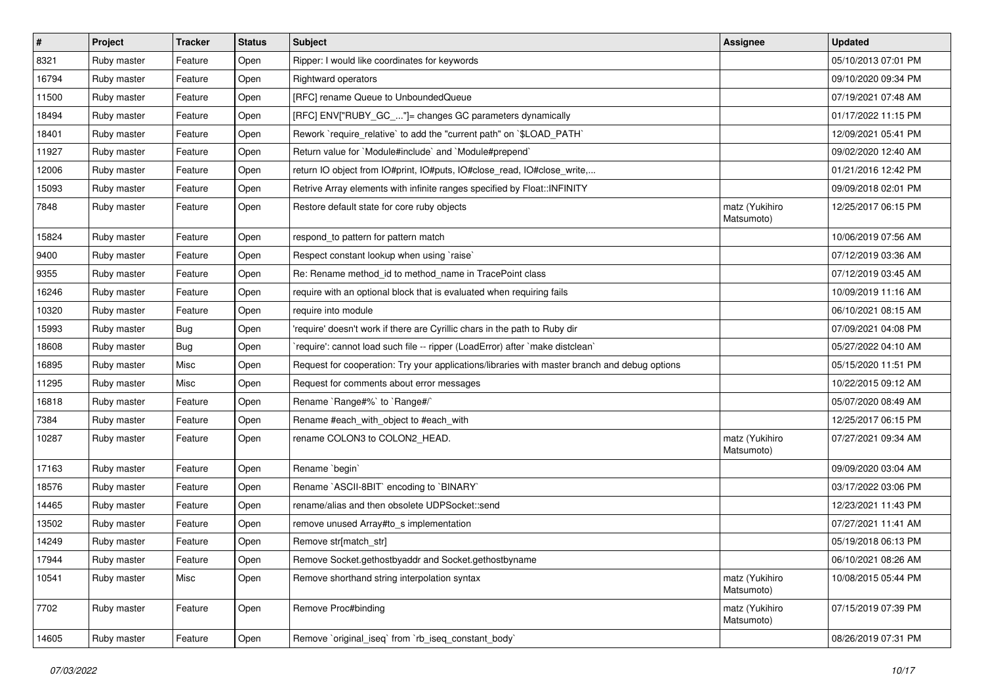| $\vert$ # | Project     | <b>Tracker</b> | <b>Status</b> | Subject                                                                                       | <b>Assignee</b>              | <b>Updated</b>      |
|-----------|-------------|----------------|---------------|-----------------------------------------------------------------------------------------------|------------------------------|---------------------|
| 8321      | Ruby master | Feature        | Open          | Ripper: I would like coordinates for keywords                                                 |                              | 05/10/2013 07:01 PM |
| 16794     | Ruby master | Feature        | Open          | <b>Rightward operators</b>                                                                    |                              | 09/10/2020 09:34 PM |
| 11500     | Ruby master | Feature        | Open          | [RFC] rename Queue to UnboundedQueue                                                          |                              | 07/19/2021 07:48 AM |
| 18494     | Ruby master | Feature        | Open          | [RFC] ENV["RUBY_GC_"]= changes GC parameters dynamically                                      |                              | 01/17/2022 11:15 PM |
| 18401     | Ruby master | Feature        | Open          | Rework `require_relative` to add the "current path" on `\$LOAD_PATH`                          |                              | 12/09/2021 05:41 PM |
| 11927     | Ruby master | Feature        | Open          | Return value for `Module#include` and `Module#prepend`                                        |                              | 09/02/2020 12:40 AM |
| 12006     | Ruby master | Feature        | Open          | return IO object from IO#print, IO#puts, IO#close_read, IO#close_write,                       |                              | 01/21/2016 12:42 PM |
| 15093     | Ruby master | Feature        | Open          | Retrive Array elements with infinite ranges specified by Float:: INFINITY                     |                              | 09/09/2018 02:01 PM |
| 7848      | Ruby master | Feature        | Open          | Restore default state for core ruby objects                                                   | matz (Yukihiro<br>Matsumoto) | 12/25/2017 06:15 PM |
| 15824     | Ruby master | Feature        | Open          | respond_to pattern for pattern match                                                          |                              | 10/06/2019 07:56 AM |
| 9400      | Ruby master | Feature        | Open          | Respect constant lookup when using 'raise'                                                    |                              | 07/12/2019 03:36 AM |
| 9355      | Ruby master | Feature        | Open          | Re: Rename method_id to method_name in TracePoint class                                       |                              | 07/12/2019 03:45 AM |
| 16246     | Ruby master | Feature        | Open          | require with an optional block that is evaluated when requiring fails                         |                              | 10/09/2019 11:16 AM |
| 10320     | Ruby master | Feature        | Open          | require into module                                                                           |                              | 06/10/2021 08:15 AM |
| 15993     | Ruby master | <b>Bug</b>     | Open          | 'require' doesn't work if there are Cyrillic chars in the path to Ruby dir                    |                              | 07/09/2021 04:08 PM |
| 18608     | Ruby master | <b>Bug</b>     | Open          | 'require': cannot load such file -- ripper (LoadError) after 'make distclean'                 |                              | 05/27/2022 04:10 AM |
| 16895     | Ruby master | Misc           | Open          | Request for cooperation: Try your applications/libraries with master branch and debug options |                              | 05/15/2020 11:51 PM |
| 11295     | Ruby master | Misc           | Open          | Request for comments about error messages                                                     |                              | 10/22/2015 09:12 AM |
| 16818     | Ruby master | Feature        | Open          | Rename `Range#%` to `Range#/`                                                                 |                              | 05/07/2020 08:49 AM |
| 7384      | Ruby master | Feature        | Open          | Rename #each_with_object to #each_with                                                        |                              | 12/25/2017 06:15 PM |
| 10287     | Ruby master | Feature        | Open          | rename COLON3 to COLON2_HEAD.                                                                 | matz (Yukihiro<br>Matsumoto) | 07/27/2021 09:34 AM |
| 17163     | Ruby master | Feature        | Open          | Rename `begin`                                                                                |                              | 09/09/2020 03:04 AM |
| 18576     | Ruby master | Feature        | Open          | Rename `ASCII-8BIT` encoding to `BINARY`                                                      |                              | 03/17/2022 03:06 PM |
| 14465     | Ruby master | Feature        | Open          | rename/alias and then obsolete UDPSocket::send                                                |                              | 12/23/2021 11:43 PM |
| 13502     | Ruby master | Feature        | Open          | remove unused Array#to_s implementation                                                       |                              | 07/27/2021 11:41 AM |
| 14249     | Ruby master | Feature        | Open          | Remove str[match_str]                                                                         |                              | 05/19/2018 06:13 PM |
| 17944     | Ruby master | Feature        | Open          | Remove Socket.gethostbyaddr and Socket.gethostbyname                                          |                              | 06/10/2021 08:26 AM |
| 10541     | Ruby master | Misc           | Open          | Remove shorthand string interpolation syntax                                                  | matz (Yukihiro<br>Matsumoto) | 10/08/2015 05:44 PM |
| 7702      | Ruby master | Feature        | Open          | Remove Proc#binding                                                                           | matz (Yukihiro<br>Matsumoto) | 07/15/2019 07:39 PM |
| 14605     | Ruby master | Feature        | Open          | Remove `original_iseq` from `rb_iseq_constant_body`                                           |                              | 08/26/2019 07:31 PM |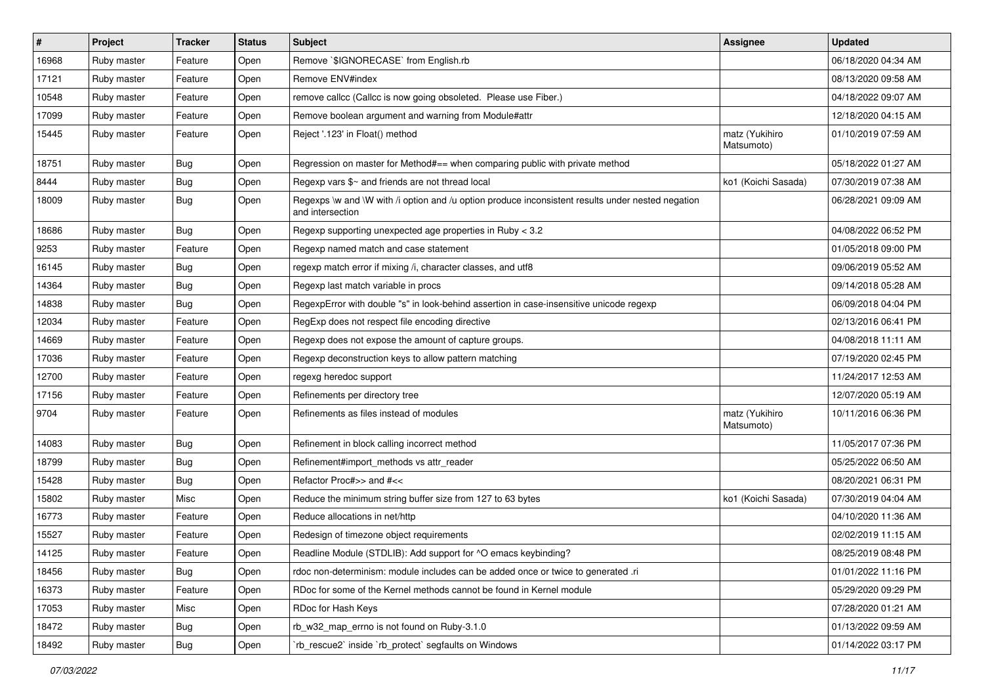| $\vert$ # | Project     | <b>Tracker</b> | <b>Status</b> | <b>Subject</b>                                                                                                        | Assignee                     | <b>Updated</b>      |
|-----------|-------------|----------------|---------------|-----------------------------------------------------------------------------------------------------------------------|------------------------------|---------------------|
| 16968     | Ruby master | Feature        | Open          | Remove `\$IGNORECASE` from English.rb                                                                                 |                              | 06/18/2020 04:34 AM |
| 17121     | Ruby master | Feature        | Open          | Remove ENV#index                                                                                                      |                              | 08/13/2020 09:58 AM |
| 10548     | Ruby master | Feature        | Open          | remove callcc (Callcc is now going obsoleted. Please use Fiber.)                                                      |                              | 04/18/2022 09:07 AM |
| 17099     | Ruby master | Feature        | Open          | Remove boolean argument and warning from Module#attr                                                                  |                              | 12/18/2020 04:15 AM |
| 15445     | Ruby master | Feature        | Open          | Reject '.123' in Float() method                                                                                       | matz (Yukihiro<br>Matsumoto) | 01/10/2019 07:59 AM |
| 18751     | Ruby master | <b>Bug</b>     | Open          | Regression on master for Method#== when comparing public with private method                                          |                              | 05/18/2022 01:27 AM |
| 8444      | Ruby master | <b>Bug</b>     | Open          | Regexp vars \$~ and friends are not thread local                                                                      | ko1 (Koichi Sasada)          | 07/30/2019 07:38 AM |
| 18009     | Ruby master | <b>Bug</b>     | Open          | Regexps \w and \W with /i option and /u option produce inconsistent results under nested negation<br>and intersection |                              | 06/28/2021 09:09 AM |
| 18686     | Ruby master | Bug            | Open          | Regexp supporting unexpected age properties in Ruby < 3.2                                                             |                              | 04/08/2022 06:52 PM |
| 9253      | Ruby master | Feature        | Open          | Regexp named match and case statement                                                                                 |                              | 01/05/2018 09:00 PM |
| 16145     | Ruby master | <b>Bug</b>     | Open          | regexp match error if mixing /i, character classes, and utf8                                                          |                              | 09/06/2019 05:52 AM |
| 14364     | Ruby master | <b>Bug</b>     | Open          | Regexp last match variable in procs                                                                                   |                              | 09/14/2018 05:28 AM |
| 14838     | Ruby master | <b>Bug</b>     | Open          | RegexpError with double "s" in look-behind assertion in case-insensitive unicode regexp                               |                              | 06/09/2018 04:04 PM |
| 12034     | Ruby master | Feature        | Open          | RegExp does not respect file encoding directive                                                                       |                              | 02/13/2016 06:41 PM |
| 14669     | Ruby master | Feature        | Open          | Regexp does not expose the amount of capture groups.                                                                  |                              | 04/08/2018 11:11 AM |
| 17036     | Ruby master | Feature        | Open          | Regexp deconstruction keys to allow pattern matching                                                                  |                              | 07/19/2020 02:45 PM |
| 12700     | Ruby master | Feature        | Open          | regexg heredoc support                                                                                                |                              | 11/24/2017 12:53 AM |
| 17156     | Ruby master | Feature        | Open          | Refinements per directory tree                                                                                        |                              | 12/07/2020 05:19 AM |
| 9704      | Ruby master | Feature        | Open          | Refinements as files instead of modules                                                                               | matz (Yukihiro<br>Matsumoto) | 10/11/2016 06:36 PM |
| 14083     | Ruby master | Bug            | Open          | Refinement in block calling incorrect method                                                                          |                              | 11/05/2017 07:36 PM |
| 18799     | Ruby master | <b>Bug</b>     | Open          | Refinement#import_methods vs attr_reader                                                                              |                              | 05/25/2022 06:50 AM |
| 15428     | Ruby master | <b>Bug</b>     | Open          | Refactor Proc#>> and #<<                                                                                              |                              | 08/20/2021 06:31 PM |
| 15802     | Ruby master | Misc           | Open          | Reduce the minimum string buffer size from 127 to 63 bytes                                                            | ko1 (Koichi Sasada)          | 07/30/2019 04:04 AM |
| 16773     | Ruby master | Feature        | Open          | Reduce allocations in net/http                                                                                        |                              | 04/10/2020 11:36 AM |
| 15527     | Ruby master | Feature        | Open          | Redesign of timezone object requirements                                                                              |                              | 02/02/2019 11:15 AM |
| 14125     | Ruby master | Feature        | Open          | Readline Module (STDLIB): Add support for ^O emacs keybinding?                                                        |                              | 08/25/2019 08:48 PM |
| 18456     | Ruby master | <b>Bug</b>     | Open          | rdoc non-determinism: module includes can be added once or twice to generated .ri                                     |                              | 01/01/2022 11:16 PM |
| 16373     | Ruby master | Feature        | Open          | RDoc for some of the Kernel methods cannot be found in Kernel module                                                  |                              | 05/29/2020 09:29 PM |
| 17053     | Ruby master | Misc           | Open          | RDoc for Hash Keys                                                                                                    |                              | 07/28/2020 01:21 AM |
| 18472     | Ruby master | <b>Bug</b>     | Open          | rb_w32_map_errno is not found on Ruby-3.1.0                                                                           |                              | 01/13/2022 09:59 AM |
| 18492     | Ruby master | Bug            | Open          | rb_rescue2` inside `rb_protect` segfaults on Windows                                                                  |                              | 01/14/2022 03:17 PM |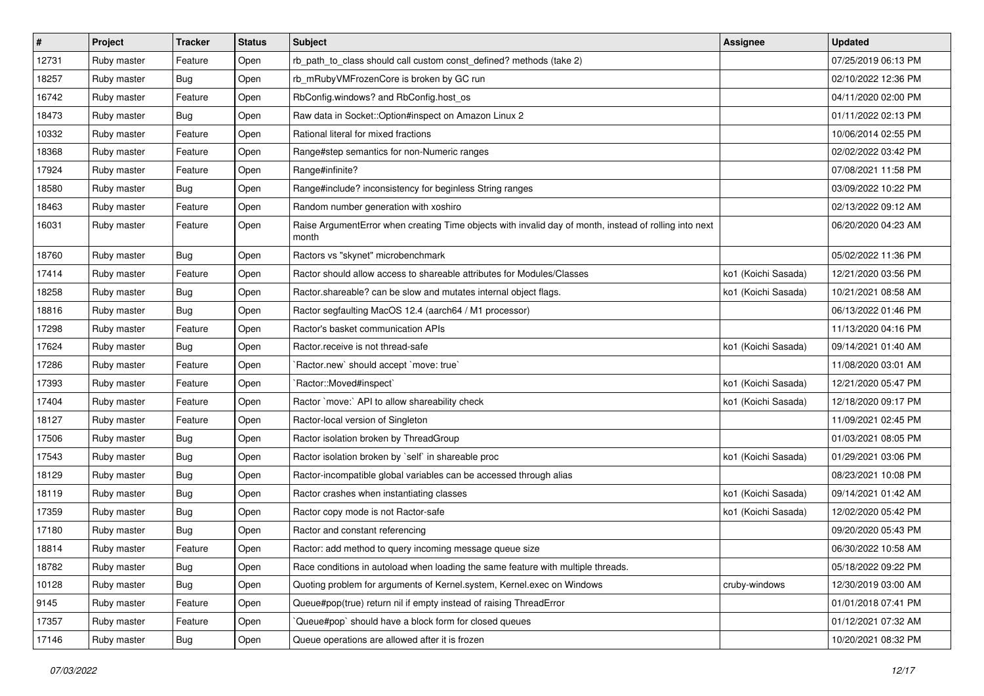| $\vert$ # | Project     | <b>Tracker</b> | <b>Status</b> | Subject                                                                                                         | <b>Assignee</b>     | <b>Updated</b>      |
|-----------|-------------|----------------|---------------|-----------------------------------------------------------------------------------------------------------------|---------------------|---------------------|
| 12731     | Ruby master | Feature        | Open          | rb_path_to_class should call custom const_defined? methods (take 2)                                             |                     | 07/25/2019 06:13 PM |
| 18257     | Ruby master | Bug            | Open          | rb_mRubyVMFrozenCore is broken by GC run                                                                        |                     | 02/10/2022 12:36 PM |
| 16742     | Ruby master | Feature        | Open          | RbConfig.windows? and RbConfig.host_os                                                                          |                     | 04/11/2020 02:00 PM |
| 18473     | Ruby master | <b>Bug</b>     | Open          | Raw data in Socket::Option#inspect on Amazon Linux 2                                                            |                     | 01/11/2022 02:13 PM |
| 10332     | Ruby master | Feature        | Open          | Rational literal for mixed fractions                                                                            |                     | 10/06/2014 02:55 PM |
| 18368     | Ruby master | Feature        | Open          | Range#step semantics for non-Numeric ranges                                                                     |                     | 02/02/2022 03:42 PM |
| 17924     | Ruby master | Feature        | Open          | Range#infinite?                                                                                                 |                     | 07/08/2021 11:58 PM |
| 18580     | Ruby master | <b>Bug</b>     | Open          | Range#include? inconsistency for beginless String ranges                                                        |                     | 03/09/2022 10:22 PM |
| 18463     | Ruby master | Feature        | Open          | Random number generation with xoshiro                                                                           |                     | 02/13/2022 09:12 AM |
| 16031     | Ruby master | Feature        | Open          | Raise ArgumentError when creating Time objects with invalid day of month, instead of rolling into next<br>month |                     | 06/20/2020 04:23 AM |
| 18760     | Ruby master | Bug            | Open          | Ractors vs "skynet" microbenchmark                                                                              |                     | 05/02/2022 11:36 PM |
| 17414     | Ruby master | Feature        | Open          | Ractor should allow access to shareable attributes for Modules/Classes                                          | ko1 (Koichi Sasada) | 12/21/2020 03:56 PM |
| 18258     | Ruby master | <b>Bug</b>     | Open          | Ractor.shareable? can be slow and mutates internal object flags.                                                | ko1 (Koichi Sasada) | 10/21/2021 08:58 AM |
| 18816     | Ruby master | Bug            | Open          | Ractor segfaulting MacOS 12.4 (aarch64 / M1 processor)                                                          |                     | 06/13/2022 01:46 PM |
| 17298     | Ruby master | Feature        | Open          | Ractor's basket communication APIs                                                                              |                     | 11/13/2020 04:16 PM |
| 17624     | Ruby master | Bug            | Open          | Ractor.receive is not thread-safe                                                                               | ko1 (Koichi Sasada) | 09/14/2021 01:40 AM |
| 17286     | Ruby master | Feature        | Open          | Ractor.new' should accept 'move: true'                                                                          |                     | 11/08/2020 03:01 AM |
| 17393     | Ruby master | Feature        | Open          | Ractor::Moved#inspect`                                                                                          | ko1 (Koichi Sasada) | 12/21/2020 05:47 PM |
| 17404     | Ruby master | Feature        | Open          | Ractor `move:` API to allow shareability check                                                                  | ko1 (Koichi Sasada) | 12/18/2020 09:17 PM |
| 18127     | Ruby master | Feature        | Open          | Ractor-local version of Singleton                                                                               |                     | 11/09/2021 02:45 PM |
| 17506     | Ruby master | Bug            | Open          | Ractor isolation broken by ThreadGroup                                                                          |                     | 01/03/2021 08:05 PM |
| 17543     | Ruby master | <b>Bug</b>     | Open          | Ractor isolation broken by `self` in shareable proc                                                             | ko1 (Koichi Sasada) | 01/29/2021 03:06 PM |
| 18129     | Ruby master | <b>Bug</b>     | Open          | Ractor-incompatible global variables can be accessed through alias                                              |                     | 08/23/2021 10:08 PM |
| 18119     | Ruby master | Bug            | Open          | Ractor crashes when instantiating classes                                                                       | ko1 (Koichi Sasada) | 09/14/2021 01:42 AM |
| 17359     | Ruby master | <b>Bug</b>     | Open          | Ractor copy mode is not Ractor-safe                                                                             | ko1 (Koichi Sasada) | 12/02/2020 05:42 PM |
| 17180     | Ruby master | Bug            | Open          | Ractor and constant referencing                                                                                 |                     | 09/20/2020 05:43 PM |
| 18814     | Ruby master | Feature        | Open          | Ractor: add method to query incoming message queue size                                                         |                     | 06/30/2022 10:58 AM |
| 18782     | Ruby master | <b>Bug</b>     | Open          | Race conditions in autoload when loading the same feature with multiple threads.                                |                     | 05/18/2022 09:22 PM |
| 10128     | Ruby master | <b>Bug</b>     | Open          | Quoting problem for arguments of Kernel.system, Kernel.exec on Windows                                          | cruby-windows       | 12/30/2019 03:00 AM |
| 9145      | Ruby master | Feature        | Open          | Queue#pop(true) return nil if empty instead of raising ThreadError                                              |                     | 01/01/2018 07:41 PM |
| 17357     | Ruby master | Feature        | Open          | Queue#pop` should have a block form for closed queues                                                           |                     | 01/12/2021 07:32 AM |
| 17146     | Ruby master | <b>Bug</b>     | Open          | Queue operations are allowed after it is frozen                                                                 |                     | 10/20/2021 08:32 PM |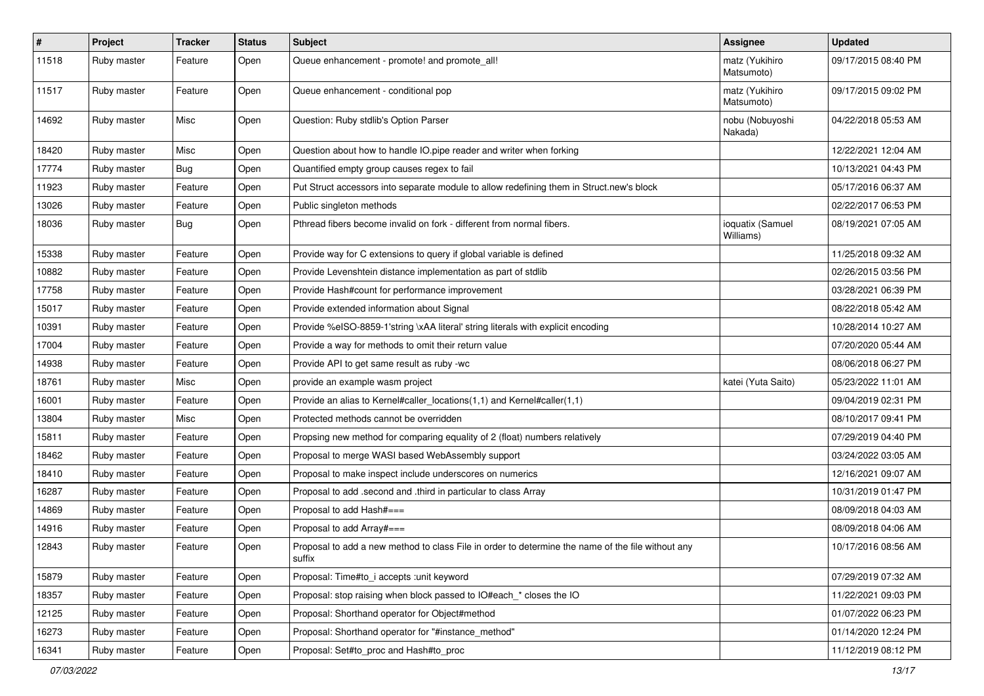| $\sharp$ | Project     | <b>Tracker</b> | <b>Status</b> | <b>Subject</b>                                                                                                     | Assignee                      | <b>Updated</b>      |
|----------|-------------|----------------|---------------|--------------------------------------------------------------------------------------------------------------------|-------------------------------|---------------------|
| 11518    | Ruby master | Feature        | Open          | Queue enhancement - promote! and promote_all!                                                                      | matz (Yukihiro<br>Matsumoto)  | 09/17/2015 08:40 PM |
| 11517    | Ruby master | Feature        | Open          | Queue enhancement - conditional pop                                                                                | matz (Yukihiro<br>Matsumoto)  | 09/17/2015 09:02 PM |
| 14692    | Ruby master | Misc           | Open          | Question: Ruby stdlib's Option Parser                                                                              | nobu (Nobuyoshi<br>Nakada)    | 04/22/2018 05:53 AM |
| 18420    | Ruby master | Misc           | Open          | Question about how to handle IO.pipe reader and writer when forking                                                |                               | 12/22/2021 12:04 AM |
| 17774    | Ruby master | Bug            | Open          | Quantified empty group causes regex to fail                                                                        |                               | 10/13/2021 04:43 PM |
| 11923    | Ruby master | Feature        | Open          | Put Struct accessors into separate module to allow redefining them in Struct.new's block                           |                               | 05/17/2016 06:37 AM |
| 13026    | Ruby master | Feature        | Open          | Public singleton methods                                                                                           |                               | 02/22/2017 06:53 PM |
| 18036    | Ruby master | Bug            | Open          | Pthread fibers become invalid on fork - different from normal fibers.                                              | ioquatix (Samuel<br>Williams) | 08/19/2021 07:05 AM |
| 15338    | Ruby master | Feature        | Open          | Provide way for C extensions to query if global variable is defined                                                |                               | 11/25/2018 09:32 AM |
| 10882    | Ruby master | Feature        | Open          | Provide Levenshtein distance implementation as part of stdlib                                                      |                               | 02/26/2015 03:56 PM |
| 17758    | Ruby master | Feature        | Open          | Provide Hash#count for performance improvement                                                                     |                               | 03/28/2021 06:39 PM |
| 15017    | Ruby master | Feature        | Open          | Provide extended information about Signal                                                                          |                               | 08/22/2018 05:42 AM |
| 10391    | Ruby master | Feature        | Open          | Provide %eISO-8859-1'string \xAA literal' string literals with explicit encoding                                   |                               | 10/28/2014 10:27 AM |
| 17004    | Ruby master | Feature        | Open          | Provide a way for methods to omit their return value                                                               |                               | 07/20/2020 05:44 AM |
| 14938    | Ruby master | Feature        | Open          | Provide API to get same result as ruby -wc                                                                         |                               | 08/06/2018 06:27 PM |
| 18761    | Ruby master | Misc           | Open          | provide an example wasm project                                                                                    | katei (Yuta Saito)            | 05/23/2022 11:01 AM |
| 16001    | Ruby master | Feature        | Open          | Provide an alias to Kernel#caller locations(1,1) and Kernel#caller(1,1)                                            |                               | 09/04/2019 02:31 PM |
| 13804    | Ruby master | Misc           | Open          | Protected methods cannot be overridden                                                                             |                               | 08/10/2017 09:41 PM |
| 15811    | Ruby master | Feature        | Open          | Propsing new method for comparing equality of 2 (float) numbers relatively                                         |                               | 07/29/2019 04:40 PM |
| 18462    | Ruby master | Feature        | Open          | Proposal to merge WASI based WebAssembly support                                                                   |                               | 03/24/2022 03:05 AM |
| 18410    | Ruby master | Feature        | Open          | Proposal to make inspect include underscores on numerics                                                           |                               | 12/16/2021 09:07 AM |
| 16287    | Ruby master | Feature        | Open          | Proposal to add .second and .third in particular to class Array                                                    |                               | 10/31/2019 01:47 PM |
| 14869    | Ruby master | Feature        | Open          | Proposal to add Hash#===                                                                                           |                               | 08/09/2018 04:03 AM |
| 14916    | Ruby master | Feature        | Open          | Proposal to add Array#===                                                                                          |                               | 08/09/2018 04:06 AM |
| 12843    | Ruby master | Feature        | Open          | Proposal to add a new method to class File in order to determine the name of the file without any<br><b>SUITIX</b> |                               | 10/17/2016 08:56 AM |
| 15879    | Ruby master | Feature        | Open          | Proposal: Time#to i accepts : unit keyword                                                                         |                               | 07/29/2019 07:32 AM |
| 18357    | Ruby master | Feature        | Open          | Proposal: stop raising when block passed to IO#each_* closes the IO                                                |                               | 11/22/2021 09:03 PM |
| 12125    | Ruby master | Feature        | Open          | Proposal: Shorthand operator for Object#method                                                                     |                               | 01/07/2022 06:23 PM |
| 16273    | Ruby master | Feature        | Open          | Proposal: Shorthand operator for "#instance_method"                                                                |                               | 01/14/2020 12:24 PM |
| 16341    | Ruby master | Feature        | Open          | Proposal: Set#to_proc and Hash#to_proc                                                                             |                               | 11/12/2019 08:12 PM |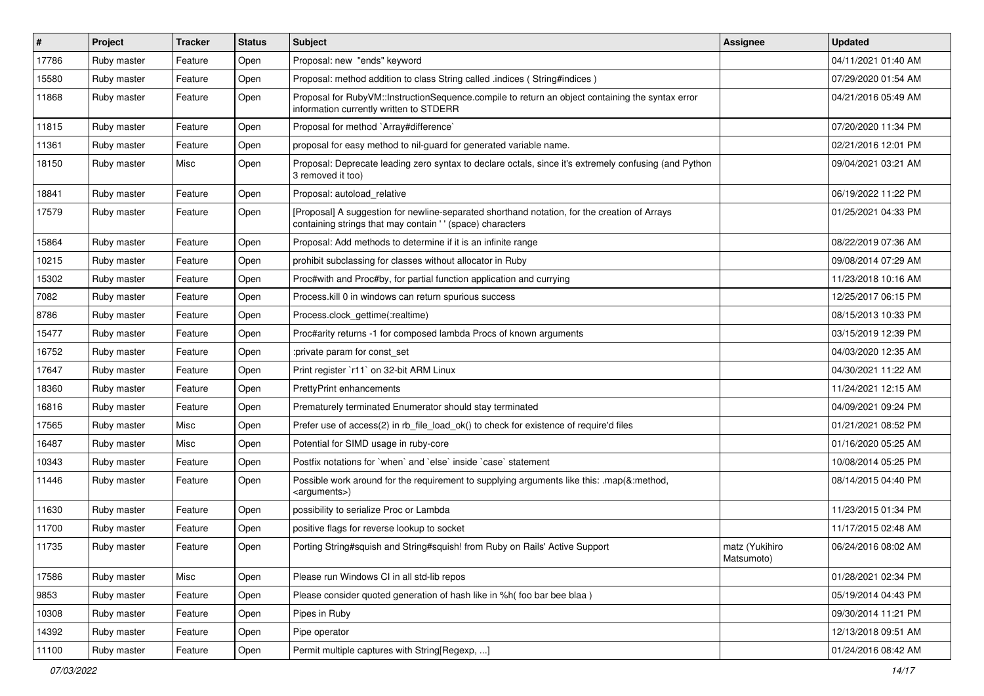| $\vert$ # | Project     | <b>Tracker</b> | <b>Status</b> | <b>Subject</b>                                                                                                                                            | <b>Assignee</b>              | <b>Updated</b>      |
|-----------|-------------|----------------|---------------|-----------------------------------------------------------------------------------------------------------------------------------------------------------|------------------------------|---------------------|
| 17786     | Ruby master | Feature        | Open          | Proposal: new "ends" keyword                                                                                                                              |                              | 04/11/2021 01:40 AM |
| 15580     | Ruby master | Feature        | Open          | Proposal: method addition to class String called .indices (String#indices)                                                                                |                              | 07/29/2020 01:54 AM |
| 11868     | Ruby master | Feature        | Open          | Proposal for RubyVM::InstructionSequence.compile to return an object containing the syntax error<br>information currently written to STDERR               |                              | 04/21/2016 05:49 AM |
| 11815     | Ruby master | Feature        | Open          | Proposal for method `Array#difference`                                                                                                                    |                              | 07/20/2020 11:34 PM |
| 11361     | Ruby master | Feature        | Open          | proposal for easy method to nil-guard for generated variable name.                                                                                        |                              | 02/21/2016 12:01 PM |
| 18150     | Ruby master | Misc           | Open          | Proposal: Deprecate leading zero syntax to declare octals, since it's extremely confusing (and Python<br>3 removed it too)                                |                              | 09/04/2021 03:21 AM |
| 18841     | Ruby master | Feature        | Open          | Proposal: autoload relative                                                                                                                               |                              | 06/19/2022 11:22 PM |
| 17579     | Ruby master | Feature        | Open          | [Proposal] A suggestion for newline-separated shorthand notation, for the creation of Arrays<br>containing strings that may contain '' (space) characters |                              | 01/25/2021 04:33 PM |
| 15864     | Ruby master | Feature        | Open          | Proposal: Add methods to determine if it is an infinite range                                                                                             |                              | 08/22/2019 07:36 AM |
| 10215     | Ruby master | Feature        | Open          | prohibit subclassing for classes without allocator in Ruby                                                                                                |                              | 09/08/2014 07:29 AM |
| 15302     | Ruby master | Feature        | Open          | Proc#with and Proc#by, for partial function application and currying                                                                                      |                              | 11/23/2018 10:16 AM |
| 7082      | Ruby master | Feature        | Open          | Process. kill 0 in windows can return spurious success                                                                                                    |                              | 12/25/2017 06:15 PM |
| 8786      | Ruby master | Feature        | Open          | Process.clock gettime(:realtime)                                                                                                                          |                              | 08/15/2013 10:33 PM |
| 15477     | Ruby master | Feature        | Open          | Proc#arity returns -1 for composed lambda Procs of known arguments                                                                                        |                              | 03/15/2019 12:39 PM |
| 16752     | Ruby master | Feature        | Open          | :private param for const set                                                                                                                              |                              | 04/03/2020 12:35 AM |
| 17647     | Ruby master | Feature        | Open          | Print register `r11` on 32-bit ARM Linux                                                                                                                  |                              | 04/30/2021 11:22 AM |
| 18360     | Ruby master | Feature        | Open          | <b>PrettyPrint enhancements</b>                                                                                                                           |                              | 11/24/2021 12:15 AM |
| 16816     | Ruby master | Feature        | Open          | Prematurely terminated Enumerator should stay terminated                                                                                                  |                              | 04/09/2021 09:24 PM |
| 17565     | Ruby master | Misc           | Open          | Prefer use of access(2) in rb file load ok() to check for existence of require'd files                                                                    |                              | 01/21/2021 08:52 PM |
| 16487     | Ruby master | Misc           | Open          | Potential for SIMD usage in ruby-core                                                                                                                     |                              | 01/16/2020 05:25 AM |
| 10343     | Ruby master | Feature        | Open          | Postfix notations for 'when' and 'else' inside 'case' statement                                                                                           |                              | 10/08/2014 05:25 PM |
| 11446     | Ruby master | Feature        | Open          | Possible work around for the requirement to supplying arguments like this: .map(&:method,<br><arguments>)</arguments>                                     |                              | 08/14/2015 04:40 PM |
| 11630     | Ruby master | Feature        | Open          | possibility to serialize Proc or Lambda                                                                                                                   |                              | 11/23/2015 01:34 PM |
| 11700     | Ruby master | Feature        | Open          | positive flags for reverse lookup to socket                                                                                                               |                              | 11/17/2015 02:48 AM |
| 11735     | Ruby master | Feature        | Open          | Porting String#squish and String#squish! from Ruby on Rails' Active Support                                                                               | matz (Yukihiro<br>Matsumoto) | 06/24/2016 08:02 AM |
| 17586     | Ruby master | Misc           | Open          | Please run Windows CI in all std-lib repos                                                                                                                |                              | 01/28/2021 02:34 PM |
| 9853      | Ruby master | Feature        | Open          | Please consider quoted generation of hash like in %h( foo bar bee blaa)                                                                                   |                              | 05/19/2014 04:43 PM |
| 10308     | Ruby master | Feature        | Open          | Pipes in Ruby                                                                                                                                             |                              | 09/30/2014 11:21 PM |
| 14392     | Ruby master | Feature        | Open          | Pipe operator                                                                                                                                             |                              | 12/13/2018 09:51 AM |
| 11100     | Ruby master | Feature        | Open          | Permit multiple captures with String[Regexp, ]                                                                                                            |                              | 01/24/2016 08:42 AM |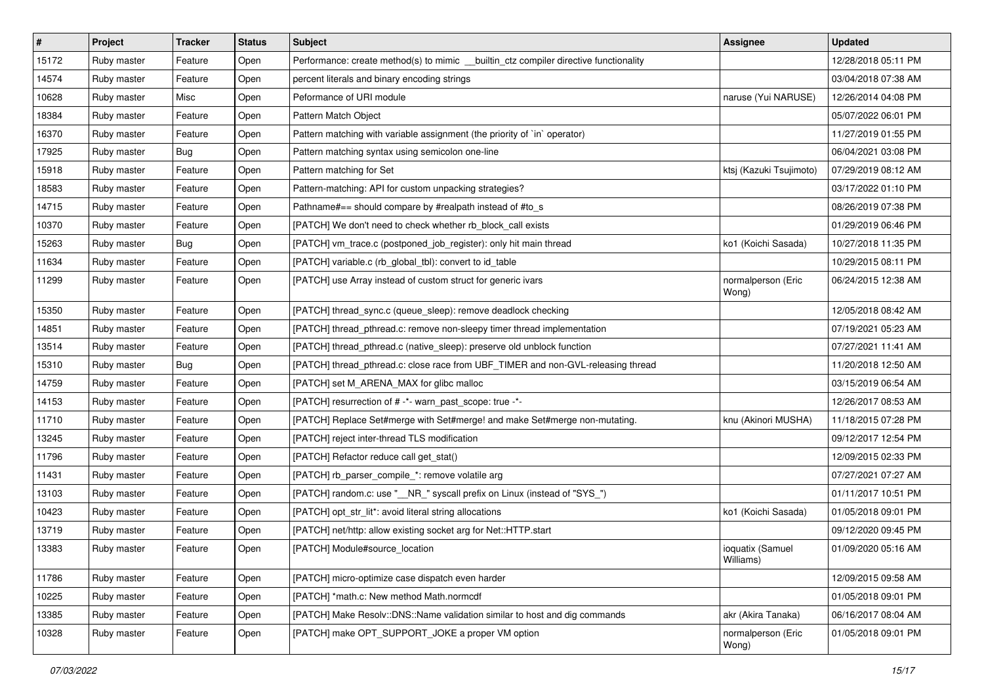| $\vert$ # | Project     | <b>Tracker</b> | <b>Status</b> | <b>Subject</b>                                                                        | <b>Assignee</b>               | <b>Updated</b>      |
|-----------|-------------|----------------|---------------|---------------------------------------------------------------------------------------|-------------------------------|---------------------|
| 15172     | Ruby master | Feature        | Open          | Performance: create method(s) to mimic __builtin_ctz compiler directive functionality |                               | 12/28/2018 05:11 PM |
| 14574     | Ruby master | Feature        | Open          | percent literals and binary encoding strings                                          |                               | 03/04/2018 07:38 AM |
| 10628     | Ruby master | Misc           | Open          | Peformance of URI module                                                              | naruse (Yui NARUSE)           | 12/26/2014 04:08 PM |
| 18384     | Ruby master | Feature        | Open          | Pattern Match Object                                                                  |                               | 05/07/2022 06:01 PM |
| 16370     | Ruby master | Feature        | Open          | Pattern matching with variable assignment (the priority of `in` operator)             |                               | 11/27/2019 01:55 PM |
| 17925     | Ruby master | <b>Bug</b>     | Open          | Pattern matching syntax using semicolon one-line                                      |                               | 06/04/2021 03:08 PM |
| 15918     | Ruby master | Feature        | Open          | Pattern matching for Set                                                              | ktsj (Kazuki Tsujimoto)       | 07/29/2019 08:12 AM |
| 18583     | Ruby master | Feature        | Open          | Pattern-matching: API for custom unpacking strategies?                                |                               | 03/17/2022 01:10 PM |
| 14715     | Ruby master | Feature        | Open          | Pathname#== should compare by #realpath instead of #to_s                              |                               | 08/26/2019 07:38 PM |
| 10370     | Ruby master | Feature        | Open          | [PATCH] We don't need to check whether rb_block_call exists                           |                               | 01/29/2019 06:46 PM |
| 15263     | Ruby master | <b>Bug</b>     | Open          | [PATCH] vm_trace.c (postponed_job_register): only hit main thread                     | ko1 (Koichi Sasada)           | 10/27/2018 11:35 PM |
| 11634     | Ruby master | Feature        | Open          | [PATCH] variable.c (rb_global_tbl): convert to id_table                               |                               | 10/29/2015 08:11 PM |
| 11299     | Ruby master | Feature        | Open          | [PATCH] use Array instead of custom struct for generic ivars                          | normalperson (Eric<br>Wong)   | 06/24/2015 12:38 AM |
| 15350     | Ruby master | Feature        | Open          | [PATCH] thread_sync.c (queue_sleep): remove deadlock checking                         |                               | 12/05/2018 08:42 AM |
| 14851     | Ruby master | Feature        | Open          | [PATCH] thread_pthread.c: remove non-sleepy timer thread implementation               |                               | 07/19/2021 05:23 AM |
| 13514     | Ruby master | Feature        | Open          | [PATCH] thread_pthread.c (native_sleep): preserve old unblock function                |                               | 07/27/2021 11:41 AM |
| 15310     | Ruby master | <b>Bug</b>     | Open          | [PATCH] thread_pthread.c: close race from UBF_TIMER and non-GVL-releasing thread      |                               | 11/20/2018 12:50 AM |
| 14759     | Ruby master | Feature        | Open          | [PATCH] set M ARENA MAX for glibc malloc                                              |                               | 03/15/2019 06:54 AM |
| 14153     | Ruby master | Feature        | Open          | [PATCH] resurrection of # -*- warn_past_scope: true -*-                               |                               | 12/26/2017 08:53 AM |
| 11710     | Ruby master | Feature        | Open          | [PATCH] Replace Set#merge with Set#merge! and make Set#merge non-mutating.            | knu (Akinori MUSHA)           | 11/18/2015 07:28 PM |
| 13245     | Ruby master | Feature        | Open          | [PATCH] reject inter-thread TLS modification                                          |                               | 09/12/2017 12:54 PM |
| 11796     | Ruby master | Feature        | Open          | [PATCH] Refactor reduce call get_stat()                                               |                               | 12/09/2015 02:33 PM |
| 11431     | Ruby master | Feature        | Open          | [PATCH] rb_parser_compile_*: remove volatile arg                                      |                               | 07/27/2021 07:27 AM |
| 13103     | Ruby master | Feature        | Open          | [PATCH] random.c: use "__NR_" syscall prefix on Linux (instead of "SYS_")             |                               | 01/11/2017 10:51 PM |
| 10423     | Ruby master | Feature        | Open          | [PATCH] opt_str_lit*: avoid literal string allocations                                | ko1 (Koichi Sasada)           | 01/05/2018 09:01 PM |
| 13719     | Ruby master | Feature        | Open          | [PATCH] net/http: allow existing socket arg for Net::HTTP.start                       |                               | 09/12/2020 09:45 PM |
| 13383     | Ruby master | Feature        | Open          | [PATCH] Module#source location                                                        | ioquatix (Samuel<br>Williams) | 01/09/2020 05:16 AM |
| 11786     | Ruby master | Feature        | Open          | [PATCH] micro-optimize case dispatch even harder                                      |                               | 12/09/2015 09:58 AM |
| 10225     | Ruby master | Feature        | Open          | [PATCH] *math.c: New method Math.normcdf                                              |                               | 01/05/2018 09:01 PM |
| 13385     | Ruby master | Feature        | Open          | [PATCH] Make Resolv::DNS::Name validation similar to host and dig commands            | akr (Akira Tanaka)            | 06/16/2017 08:04 AM |
| 10328     | Ruby master | Feature        | Open          | [PATCH] make OPT_SUPPORT_JOKE a proper VM option                                      | normalperson (Eric<br>Wong)   | 01/05/2018 09:01 PM |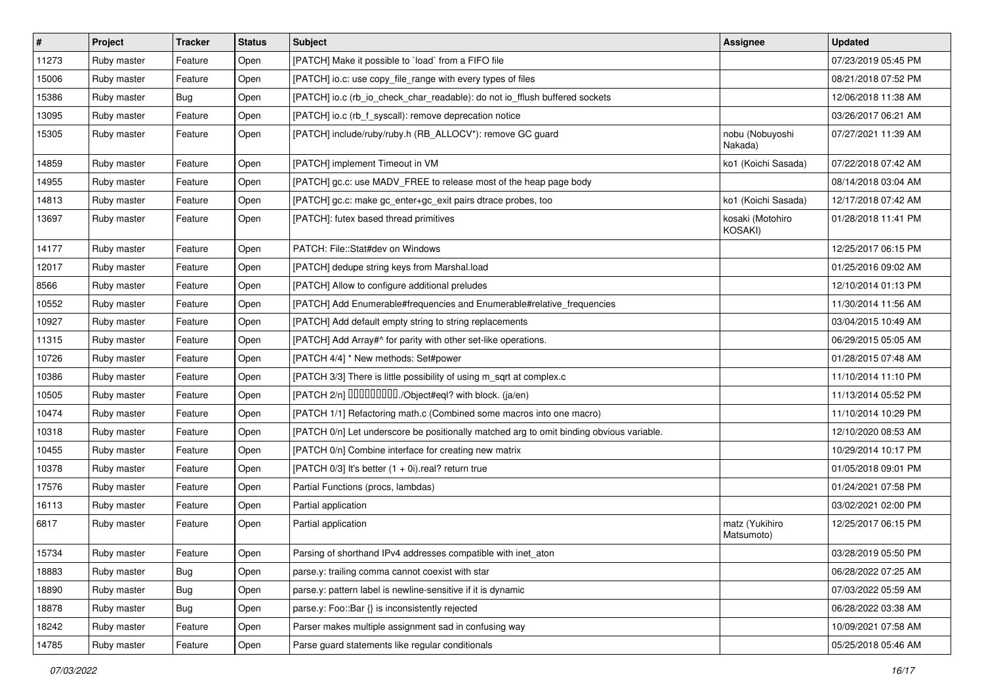| $\vert$ # | Project     | <b>Tracker</b> | <b>Status</b> | <b>Subject</b>                                                                           | <b>Assignee</b>              | <b>Updated</b>      |
|-----------|-------------|----------------|---------------|------------------------------------------------------------------------------------------|------------------------------|---------------------|
| 11273     | Ruby master | Feature        | Open          | [PATCH] Make it possible to `load` from a FIFO file                                      |                              | 07/23/2019 05:45 PM |
| 15006     | Ruby master | Feature        | Open          | [PATCH] io.c: use copy_file_range with every types of files                              |                              | 08/21/2018 07:52 PM |
| 15386     | Ruby master | <b>Bug</b>     | Open          | [PATCH] io.c (rb_io_check_char_readable): do not io_fflush buffered sockets              |                              | 12/06/2018 11:38 AM |
| 13095     | Ruby master | Feature        | Open          | [PATCH] io.c (rb_f_syscall): remove deprecation notice                                   |                              | 03/26/2017 06:21 AM |
| 15305     | Ruby master | Feature        | Open          | [PATCH] include/ruby/ruby.h (RB_ALLOCV*): remove GC guard                                | nobu (Nobuyoshi<br>Nakada)   | 07/27/2021 11:39 AM |
| 14859     | Ruby master | Feature        | Open          | [PATCH] implement Timeout in VM                                                          | ko1 (Koichi Sasada)          | 07/22/2018 07:42 AM |
| 14955     | Ruby master | Feature        | Open          | [PATCH] gc.c: use MADV_FREE to release most of the heap page body                        |                              | 08/14/2018 03:04 AM |
| 14813     | Ruby master | Feature        | Open          | [PATCH] gc.c: make gc_enter+gc_exit pairs dtrace probes, too                             | ko1 (Koichi Sasada)          | 12/17/2018 07:42 AM |
| 13697     | Ruby master | Feature        | Open          | [PATCH]: futex based thread primitives                                                   | kosaki (Motohiro<br>KOSAKI)  | 01/28/2018 11:41 PM |
| 14177     | Ruby master | Feature        | Open          | PATCH: File::Stat#dev on Windows                                                         |                              | 12/25/2017 06:15 PM |
| 12017     | Ruby master | Feature        | Open          | [PATCH] dedupe string keys from Marshal.load                                             |                              | 01/25/2016 09:02 AM |
| 8566      | Ruby master | Feature        | Open          | [PATCH] Allow to configure additional preludes                                           |                              | 12/10/2014 01:13 PM |
| 10552     | Ruby master | Feature        | Open          | [PATCH] Add Enumerable#frequencies and Enumerable#relative_frequencies                   |                              | 11/30/2014 11:56 AM |
| 10927     | Ruby master | Feature        | Open          | [PATCH] Add default empty string to string replacements                                  |                              | 03/04/2015 10:49 AM |
| 11315     | Ruby master | Feature        | Open          | [PATCH] Add Array#^ for parity with other set-like operations.                           |                              | 06/29/2015 05:05 AM |
| 10726     | Ruby master | Feature        | Open          | [PATCH 4/4] * New methods: Set#power                                                     |                              | 01/28/2015 07:48 AM |
| 10386     | Ruby master | Feature        | Open          | [PATCH 3/3] There is little possibility of using m_sqrt at complex.c                     |                              | 11/10/2014 11:10 PM |
| 10505     | Ruby master | Feature        | Open          | [PATCH 2/n] DDDDDDDD./Object#eql? with block. (ja/en)                                    |                              | 11/13/2014 05:52 PM |
| 10474     | Ruby master | Feature        | Open          | [PATCH 1/1] Refactoring math.c (Combined some macros into one macro)                     |                              | 11/10/2014 10:29 PM |
| 10318     | Ruby master | Feature        | Open          | [PATCH 0/n] Let underscore be positionally matched arg to omit binding obvious variable. |                              | 12/10/2020 08:53 AM |
| 10455     | Ruby master | Feature        | Open          | [PATCH 0/n] Combine interface for creating new matrix                                    |                              | 10/29/2014 10:17 PM |
| 10378     | Ruby master | Feature        | Open          | [PATCH $0/3$ ] It's better $(1 + 0i)$ .real? return true                                 |                              | 01/05/2018 09:01 PM |
| 17576     | Ruby master | Feature        | Open          | Partial Functions (procs, lambdas)                                                       |                              | 01/24/2021 07:58 PM |
| 16113     | Ruby master | Feature        | Open          | Partial application                                                                      |                              | 03/02/2021 02:00 PM |
| 6817      | Ruby master | Feature        | Open          | Partial application                                                                      | matz (Yukihiro<br>Matsumoto) | 12/25/2017 06:15 PM |
| 15734     | Ruby master | Feature        | Open          | Parsing of shorthand IPv4 addresses compatible with inet_aton                            |                              | 03/28/2019 05:50 PM |
| 18883     | Ruby master | <b>Bug</b>     | Open          | parse.y: trailing comma cannot coexist with star                                         |                              | 06/28/2022 07:25 AM |
| 18890     | Ruby master | <b>Bug</b>     | Open          | parse.y: pattern label is newline-sensitive if it is dynamic                             |                              | 07/03/2022 05:59 AM |
| 18878     | Ruby master | <b>Bug</b>     | Open          | parse.y: Foo::Bar {} is inconsistently rejected                                          |                              | 06/28/2022 03:38 AM |
| 18242     | Ruby master | Feature        | Open          | Parser makes multiple assignment sad in confusing way                                    |                              | 10/09/2021 07:58 AM |
| 14785     | Ruby master | Feature        | Open          | Parse guard statements like regular conditionals                                         |                              | 05/25/2018 05:46 AM |